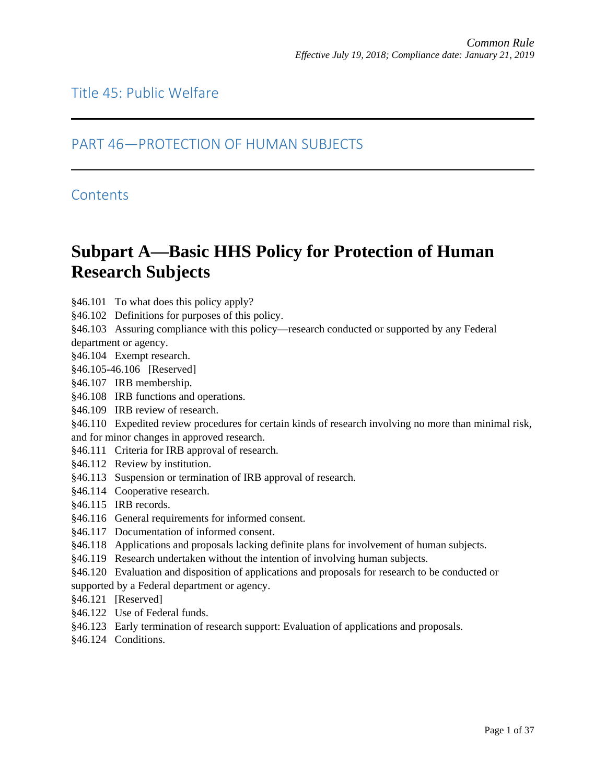#### Title 45: Public Welfare

#### PART 46—PROTECTION OF HUMAN SUBJECTS

#### **Contents**

#### **Subpart A—Basic HHS Policy for Protection of Human Research Subjects**

§46.101 To what does this policy apply?

§46.102 Definitions for purposes of this policy.

§46.103 Assuring compliance with this policy—research conducted or supported by any Federal department or agency.

§46.104 Exempt research.

§46.105-46.106 [Reserved]

§46.107 IRB membership.

- §46.108 IRB functions and operations.
- §46.109 IRB review of research.

§46.110 Expedited review procedures for certain kinds of research involving no more than minimal risk,

- and for minor changes in approved research.
- §46.111 Criteria for IRB approval of research.
- §46.112 Review by institution.
- §46.113 Suspension or termination of IRB approval of research.
- §46.114 Cooperative research.
- §46.115 IRB records.
- §46.116 General requirements for informed consent.
- §46.117 Documentation of informed consent.
- §46.118 Applications and proposals lacking definite plans for involvement of human subjects.
- §46.119 Research undertaken without the intention of involving human subjects.
- §46.120 Evaluation and disposition of applications and proposals for research to be conducted or
- supported by a Federal department or agency.

§46.121 [Reserved]

- §46.122 Use of Federal funds.
- §46.123 Early termination of research support: Evaluation of applications and proposals.
- §46.124 Conditions.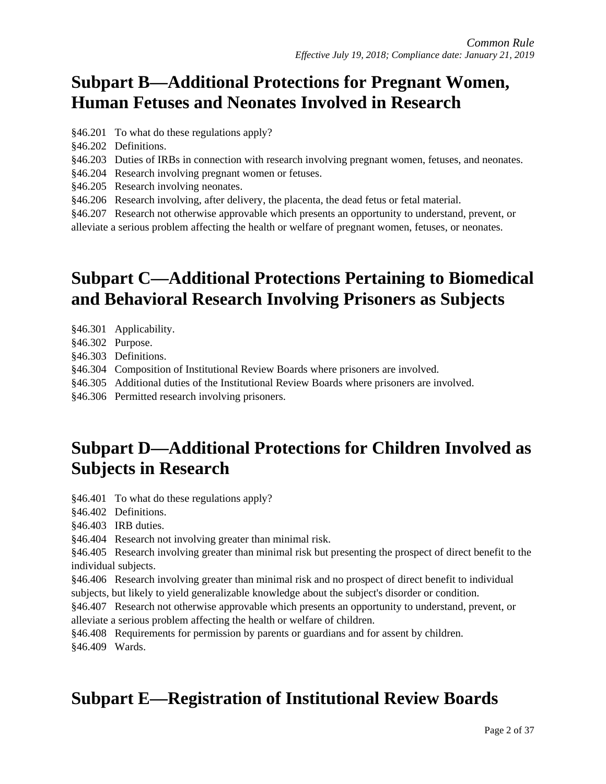### **Subpart B—Additional Protections for Pregnant Women, Human Fetuses and Neonates Involved in Research**

- §46.201 To what do these regulations apply?
- §46.202 Definitions.
- §46.203 Duties of IRBs in connection with research involving pregnant women, fetuses, and neonates.
- §46.204 Research involving pregnant women or fetuses.
- §46.205 Research involving neonates.
- §46.206 Research involving, after delivery, the placenta, the dead fetus or fetal material.

§46.207 Research not otherwise approvable which presents an opportunity to understand, prevent, or alleviate a serious problem affecting the health or welfare of pregnant women, fetuses, or neonates.

## **Subpart C—Additional Protections Pertaining to Biomedical and Behavioral Research Involving Prisoners as Subjects**

- §46.301 Applicability.
- §46.302 Purpose.
- §46.303 Definitions.
- §46.304 Composition of Institutional Review Boards where prisoners are involved.
- §46.305 Additional duties of the Institutional Review Boards where prisoners are involved.
- §46.306 Permitted research involving prisoners.

## **Subpart D—Additional Protections for Children Involved as Subjects in Research**

- §46.401 To what do these regulations apply?
- §46.402 Definitions.
- §46.403 IRB duties.
- §46.404 Research not involving greater than minimal risk.

§46.405 Research involving greater than minimal risk but presenting the prospect of direct benefit to the individual subjects.

- §46.406 Research involving greater than minimal risk and no prospect of direct benefit to individual
- subjects, but likely to yield generalizable knowledge about the subject's disorder or condition.
- §46.407 Research not otherwise approvable which presents an opportunity to understand, prevent, or alleviate a serious problem affecting the health or welfare of children.
- §46.408 Requirements for permission by parents or guardians and for assent by children.
- §46.409 Wards.

#### **Subpart E—Registration of Institutional Review Boards**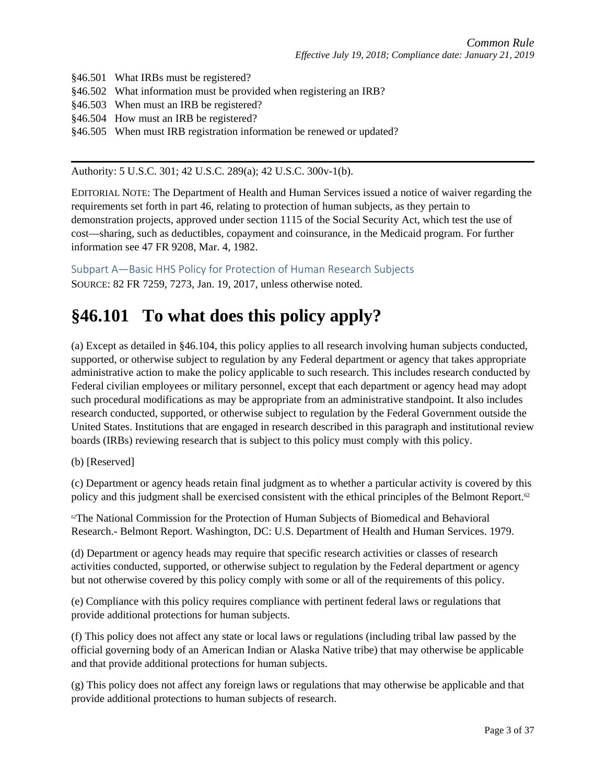- §46.501 What IRBs must be registered?
- §46.502 What information must be provided when registering an IRB?
- §46.503 When must an IRB be registered?
- §46.504 How must an IRB be registered?
- §46.505 When must IRB registration information be renewed or updated?

Authority: 5 U.S.C. 301; 42 U.S.C. 289(a); 42 U.S.C. 300v-1(b).

EDITORIAL NOTE: The Department of Health and Human Services issued a notice of waiver regarding the requirements set forth in part 46, relating to protection of human subjects, as they pertain to demonstration projects, approved under section 1115 of the Social Security Act, which test the use of cost—sharing, such as deductibles, copayment and coinsurance, in the Medicaid program. For further information see 47 FR 9208, Mar. 4, 1982.

Subpart A—Basic HHS Policy for Protection of Human Research Subjects SOURCE: 82 FR 7259, 7273, Jan. 19, 2017, unless otherwise noted.

#### **§46.101 To what does this policy apply?**

(a) Except as detailed in §46.104, this policy applies to all research involving human subjects conducted, supported, or otherwise subject to regulation by any Federal department or agency that takes appropriate administrative action to make the policy applicable to such research. This includes research conducted by Federal civilian employees or military personnel, except that each department or agency head may adopt such procedural modifications as may be appropriate from an administrative standpoint. It also includes research conducted, supported, or otherwise subject to regulation by the Federal Government outside the United States. Institutions that are engaged in research described in this paragraph and institutional review boards (IRBs) reviewing research that is subject to this policy must comply with this policy.

(b) [Reserved]

(c) Department or agency heads retain final judgment as to whether a particular activity is covered by this policy and this judgment shall be exercised consistent with the ethical principles of the Belmont Report.62

<sup>62</sup>The National Commission for the Protection of Human Subjects of Biomedical and Behavioral Research.- Belmont Report. Washington, DC: U.S. Department of Health and Human Services. 1979.

(d) Department or agency heads may require that specific research activities or classes of research activities conducted, supported, or otherwise subject to regulation by the Federal department or agency but not otherwise covered by this policy comply with some or all of the requirements of this policy.

(e) Compliance with this policy requires compliance with pertinent federal laws or regulations that provide additional protections for human subjects.

(f) This policy does not affect any state or local laws or regulations (including tribal law passed by the official governing body of an American Indian or Alaska Native tribe) that may otherwise be applicable and that provide additional protections for human subjects.

(g) This policy does not affect any foreign laws or regulations that may otherwise be applicable and that provide additional protections to human subjects of research.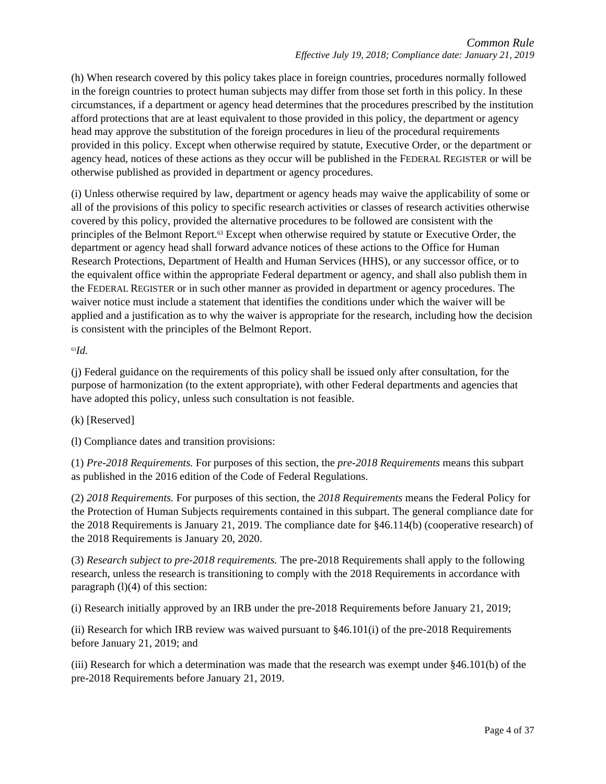(h) When research covered by this policy takes place in foreign countries, procedures normally followed in the foreign countries to protect human subjects may differ from those set forth in this policy. In these circumstances, if a department or agency head determines that the procedures prescribed by the institution afford protections that are at least equivalent to those provided in this policy, the department or agency head may approve the substitution of the foreign procedures in lieu of the procedural requirements provided in this policy. Except when otherwise required by statute, Executive Order, or the department or agency head, notices of these actions as they occur will be published in the FEDERAL REGISTER or will be otherwise published as provided in department or agency procedures.

(i) Unless otherwise required by law, department or agency heads may waive the applicability of some or all of the provisions of this policy to specific research activities or classes of research activities otherwise covered by this policy, provided the alternative procedures to be followed are consistent with the principles of the Belmont Report.63 Except when otherwise required by statute or Executive Order, the department or agency head shall forward advance notices of these actions to the Office for Human Research Protections, Department of Health and Human Services (HHS), or any successor office, or to the equivalent office within the appropriate Federal department or agency, and shall also publish them in the FEDERAL REGISTER or in such other manner as provided in department or agency procedures. The waiver notice must include a statement that identifies the conditions under which the waiver will be applied and a justification as to why the waiver is appropriate for the research, including how the decision is consistent with the principles of the Belmont Report.

#### <sup>63</sup>*Id.*

(j) Federal guidance on the requirements of this policy shall be issued only after consultation, for the purpose of harmonization (to the extent appropriate), with other Federal departments and agencies that have adopted this policy, unless such consultation is not feasible.

#### (k) [Reserved]

(l) Compliance dates and transition provisions:

(1) *Pre-2018 Requirements.* For purposes of this section, the *pre-2018 Requirements* means this subpart as published in the 2016 edition of the Code of Federal Regulations.

(2) *2018 Requirements.* For purposes of this section, the *2018 Requirements* means the Federal Policy for the Protection of Human Subjects requirements contained in this subpart. The general compliance date for the 2018 Requirements is January 21, 2019. The compliance date for §46.114(b) (cooperative research) of the 2018 Requirements is January 20, 2020.

(3) *Research subject to pre-2018 requirements.* The pre-2018 Requirements shall apply to the following research, unless the research is transitioning to comply with the 2018 Requirements in accordance with paragraph  $(l)(4)$  of this section:

(i) Research initially approved by an IRB under the pre-2018 Requirements before January 21, 2019;

(ii) Research for which IRB review was waived pursuant to §46.101(i) of the pre-2018 Requirements before January 21, 2019; and

(iii) Research for which a determination was made that the research was exempt under §46.101(b) of the pre-2018 Requirements before January 21, 2019.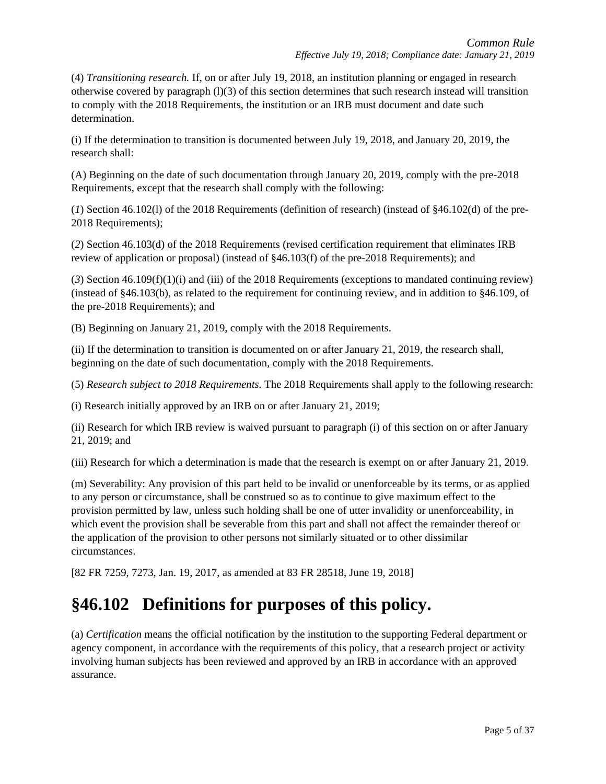(4) *Transitioning research.* If, on or after July 19, 2018, an institution planning or engaged in research otherwise covered by paragraph  $(1)(3)$  of this section determines that such research instead will transition to comply with the 2018 Requirements, the institution or an IRB must document and date such determination.

(i) If the determination to transition is documented between July 19, 2018, and January 20, 2019, the research shall:

(A) Beginning on the date of such documentation through January 20, 2019, comply with the pre-2018 Requirements, except that the research shall comply with the following:

(*1*) Section 46.102(l) of the 2018 Requirements (definition of research) (instead of §46.102(d) of the pre-2018 Requirements);

(*2*) Section 46.103(d) of the 2018 Requirements (revised certification requirement that eliminates IRB review of application or proposal) (instead of §46.103(f) of the pre-2018 Requirements); and

(*3*) Section 46.109(f)(1)(i) and (iii) of the 2018 Requirements (exceptions to mandated continuing review) (instead of §46.103(b), as related to the requirement for continuing review, and in addition to §46.109, of the pre-2018 Requirements); and

(B) Beginning on January 21, 2019, comply with the 2018 Requirements.

(ii) If the determination to transition is documented on or after January 21, 2019, the research shall, beginning on the date of such documentation, comply with the 2018 Requirements.

(5) *Research subject to 2018 Requirements.* The 2018 Requirements shall apply to the following research:

(i) Research initially approved by an IRB on or after January 21, 2019;

(ii) Research for which IRB review is waived pursuant to paragraph (i) of this section on or after January 21, 2019; and

(iii) Research for which a determination is made that the research is exempt on or after January 21, 2019.

(m) Severability: Any provision of this part held to be invalid or unenforceable by its terms, or as applied to any person or circumstance, shall be construed so as to continue to give maximum effect to the provision permitted by law, unless such holding shall be one of utter invalidity or unenforceability, in which event the provision shall be severable from this part and shall not affect the remainder thereof or the application of the provision to other persons not similarly situated or to other dissimilar circumstances.

[82 FR 7259, 7273, Jan. 19, 2017, as amended at 83 FR 28518, June 19, 2018]

## **§46.102 Definitions for purposes of this policy.**

(a) *Certification* means the official notification by the institution to the supporting Federal department or agency component, in accordance with the requirements of this policy, that a research project or activity involving human subjects has been reviewed and approved by an IRB in accordance with an approved assurance.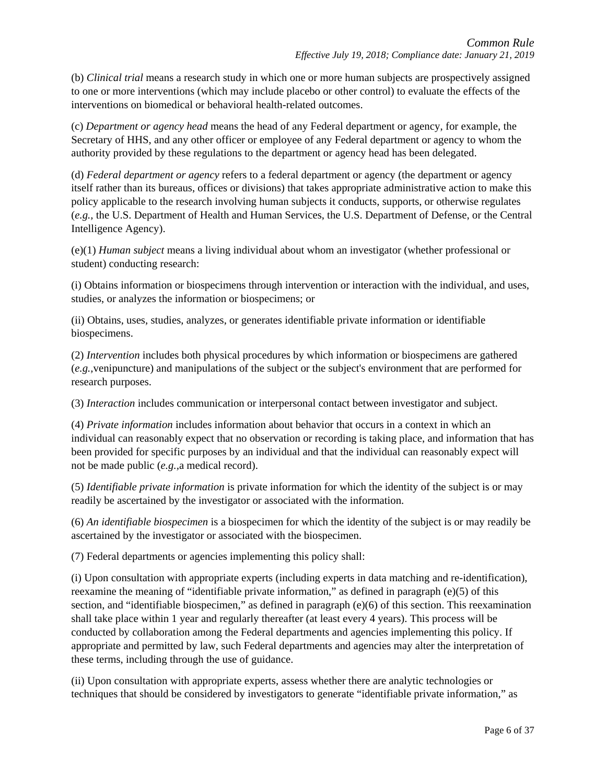(b) *Clinical trial* means a research study in which one or more human subjects are prospectively assigned to one or more interventions (which may include placebo or other control) to evaluate the effects of the interventions on biomedical or behavioral health-related outcomes.

(c) *Department or agency head* means the head of any Federal department or agency, for example, the Secretary of HHS, and any other officer or employee of any Federal department or agency to whom the authority provided by these regulations to the department or agency head has been delegated.

(d) *Federal department or agency* refers to a federal department or agency (the department or agency itself rather than its bureaus, offices or divisions) that takes appropriate administrative action to make this policy applicable to the research involving human subjects it conducts, supports, or otherwise regulates (*e.g.,* the U.S. Department of Health and Human Services, the U.S. Department of Defense, or the Central Intelligence Agency).

(e)(1) *Human subject* means a living individual about whom an investigator (whether professional or student) conducting research:

(i) Obtains information or biospecimens through intervention or interaction with the individual, and uses, studies, or analyzes the information or biospecimens; or

(ii) Obtains, uses, studies, analyzes, or generates identifiable private information or identifiable biospecimens.

(2) *Intervention* includes both physical procedures by which information or biospecimens are gathered (*e.g.,*venipuncture) and manipulations of the subject or the subject's environment that are performed for research purposes.

(3) *Interaction* includes communication or interpersonal contact between investigator and subject.

(4) *Private information* includes information about behavior that occurs in a context in which an individual can reasonably expect that no observation or recording is taking place, and information that has been provided for specific purposes by an individual and that the individual can reasonably expect will not be made public (*e.g.,*a medical record).

(5) *Identifiable private information* is private information for which the identity of the subject is or may readily be ascertained by the investigator or associated with the information.

(6) *An identifiable biospecimen* is a biospecimen for which the identity of the subject is or may readily be ascertained by the investigator or associated with the biospecimen.

(7) Federal departments or agencies implementing this policy shall:

(i) Upon consultation with appropriate experts (including experts in data matching and re-identification), reexamine the meaning of "identifiable private information," as defined in paragraph (e)(5) of this section, and "identifiable biospecimen," as defined in paragraph (e)(6) of this section. This reexamination shall take place within 1 year and regularly thereafter (at least every 4 years). This process will be conducted by collaboration among the Federal departments and agencies implementing this policy. If appropriate and permitted by law, such Federal departments and agencies may alter the interpretation of these terms, including through the use of guidance.

(ii) Upon consultation with appropriate experts, assess whether there are analytic technologies or techniques that should be considered by investigators to generate "identifiable private information," as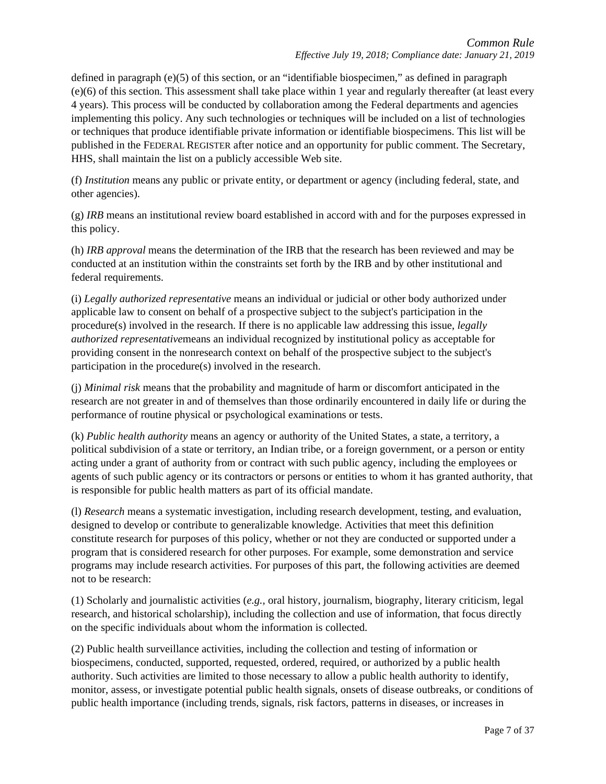defined in paragraph (e)(5) of this section, or an "identifiable biospecimen," as defined in paragraph (e)(6) of this section. This assessment shall take place within 1 year and regularly thereafter (at least every 4 years). This process will be conducted by collaboration among the Federal departments and agencies implementing this policy. Any such technologies or techniques will be included on a list of technologies or techniques that produce identifiable private information or identifiable biospecimens. This list will be published in the FEDERAL REGISTER after notice and an opportunity for public comment. The Secretary, HHS, shall maintain the list on a publicly accessible Web site.

(f) *Institution* means any public or private entity, or department or agency (including federal, state, and other agencies).

(g) *IRB* means an institutional review board established in accord with and for the purposes expressed in this policy.

(h) *IRB approval* means the determination of the IRB that the research has been reviewed and may be conducted at an institution within the constraints set forth by the IRB and by other institutional and federal requirements.

(i) *Legally authorized representative* means an individual or judicial or other body authorized under applicable law to consent on behalf of a prospective subject to the subject's participation in the procedure(s) involved in the research. If there is no applicable law addressing this issue, *legally authorized representative*means an individual recognized by institutional policy as acceptable for providing consent in the nonresearch context on behalf of the prospective subject to the subject's participation in the procedure(s) involved in the research.

(j) *Minimal risk* means that the probability and magnitude of harm or discomfort anticipated in the research are not greater in and of themselves than those ordinarily encountered in daily life or during the performance of routine physical or psychological examinations or tests.

(k) *Public health authority* means an agency or authority of the United States, a state, a territory, a political subdivision of a state or territory, an Indian tribe, or a foreign government, or a person or entity acting under a grant of authority from or contract with such public agency, including the employees or agents of such public agency or its contractors or persons or entities to whom it has granted authority, that is responsible for public health matters as part of its official mandate.

(l) *Research* means a systematic investigation, including research development, testing, and evaluation, designed to develop or contribute to generalizable knowledge. Activities that meet this definition constitute research for purposes of this policy, whether or not they are conducted or supported under a program that is considered research for other purposes. For example, some demonstration and service programs may include research activities. For purposes of this part, the following activities are deemed not to be research:

(1) Scholarly and journalistic activities (*e.g.,* oral history, journalism, biography, literary criticism, legal research, and historical scholarship), including the collection and use of information, that focus directly on the specific individuals about whom the information is collected.

(2) Public health surveillance activities, including the collection and testing of information or biospecimens, conducted, supported, requested, ordered, required, or authorized by a public health authority. Such activities are limited to those necessary to allow a public health authority to identify, monitor, assess, or investigate potential public health signals, onsets of disease outbreaks, or conditions of public health importance (including trends, signals, risk factors, patterns in diseases, or increases in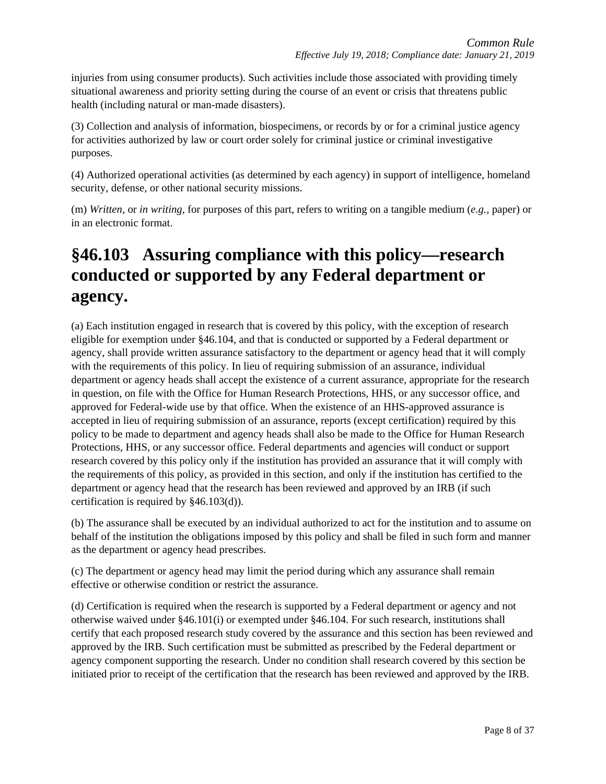injuries from using consumer products). Such activities include those associated with providing timely situational awareness and priority setting during the course of an event or crisis that threatens public health (including natural or man-made disasters).

(3) Collection and analysis of information, biospecimens, or records by or for a criminal justice agency for activities authorized by law or court order solely for criminal justice or criminal investigative purposes.

(4) Authorized operational activities (as determined by each agency) in support of intelligence, homeland security, defense, or other national security missions.

(m) *Written,* or *in writing,* for purposes of this part, refers to writing on a tangible medium (*e.g.,* paper) or in an electronic format.

## **§46.103 Assuring compliance with this policy—research conducted or supported by any Federal department or agency.**

(a) Each institution engaged in research that is covered by this policy, with the exception of research eligible for exemption under §46.104, and that is conducted or supported by a Federal department or agency, shall provide written assurance satisfactory to the department or agency head that it will comply with the requirements of this policy. In lieu of requiring submission of an assurance, individual department or agency heads shall accept the existence of a current assurance, appropriate for the research in question, on file with the Office for Human Research Protections, HHS, or any successor office, and approved for Federal-wide use by that office. When the existence of an HHS-approved assurance is accepted in lieu of requiring submission of an assurance, reports (except certification) required by this policy to be made to department and agency heads shall also be made to the Office for Human Research Protections, HHS, or any successor office. Federal departments and agencies will conduct or support research covered by this policy only if the institution has provided an assurance that it will comply with the requirements of this policy, as provided in this section, and only if the institution has certified to the department or agency head that the research has been reviewed and approved by an IRB (if such certification is required by §46.103(d)).

(b) The assurance shall be executed by an individual authorized to act for the institution and to assume on behalf of the institution the obligations imposed by this policy and shall be filed in such form and manner as the department or agency head prescribes.

(c) The department or agency head may limit the period during which any assurance shall remain effective or otherwise condition or restrict the assurance.

(d) Certification is required when the research is supported by a Federal department or agency and not otherwise waived under §46.101(i) or exempted under §46.104. For such research, institutions shall certify that each proposed research study covered by the assurance and this section has been reviewed and approved by the IRB. Such certification must be submitted as prescribed by the Federal department or agency component supporting the research. Under no condition shall research covered by this section be initiated prior to receipt of the certification that the research has been reviewed and approved by the IRB.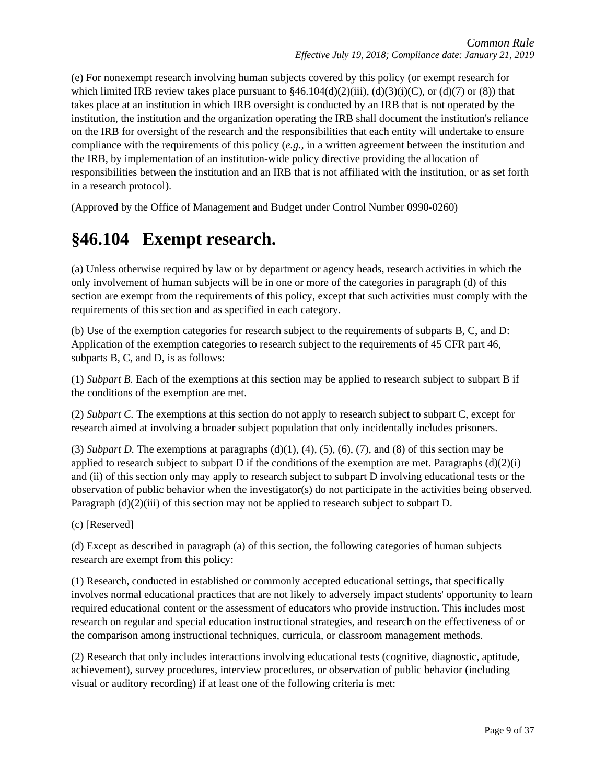(e) For nonexempt research involving human subjects covered by this policy (or exempt research for which limited IRB review takes place pursuant to  $\frac{846.104(d)(2)(iii)}{d(3)(i)(C)}$ , or (d)(7) or (8)) that takes place at an institution in which IRB oversight is conducted by an IRB that is not operated by the institution, the institution and the organization operating the IRB shall document the institution's reliance on the IRB for oversight of the research and the responsibilities that each entity will undertake to ensure compliance with the requirements of this policy (*e.g.,* in a written agreement between the institution and the IRB, by implementation of an institution-wide policy directive providing the allocation of responsibilities between the institution and an IRB that is not affiliated with the institution, or as set forth in a research protocol).

(Approved by the Office of Management and Budget under Control Number 0990-0260)

#### **§46.104 Exempt research.**

(a) Unless otherwise required by law or by department or agency heads, research activities in which the only involvement of human subjects will be in one or more of the categories in paragraph (d) of this section are exempt from the requirements of this policy, except that such activities must comply with the requirements of this section and as specified in each category.

(b) Use of the exemption categories for research subject to the requirements of subparts B, C, and D: Application of the exemption categories to research subject to the requirements of 45 CFR part 46, subparts B, C, and D, is as follows:

(1) *Subpart B.* Each of the exemptions at this section may be applied to research subject to subpart B if the conditions of the exemption are met.

(2) *Subpart C.* The exemptions at this section do not apply to research subject to subpart C, except for research aimed at involving a broader subject population that only incidentally includes prisoners.

(3) *Subpart D.* The exemptions at paragraphs  $(d)(1)$ ,  $(4)$ ,  $(5)$ ,  $(6)$ ,  $(7)$ , and  $(8)$  of this section may be applied to research subject to subpart D if the conditions of the exemption are met. Paragraphs  $(d)(2)(i)$ and (ii) of this section only may apply to research subject to subpart D involving educational tests or the observation of public behavior when the investigator(s) do not participate in the activities being observed. Paragraph  $(d)(2)(iii)$  of this section may not be applied to research subject to subpart D.

(c) [Reserved]

(d) Except as described in paragraph (a) of this section, the following categories of human subjects research are exempt from this policy:

(1) Research, conducted in established or commonly accepted educational settings, that specifically involves normal educational practices that are not likely to adversely impact students' opportunity to learn required educational content or the assessment of educators who provide instruction. This includes most research on regular and special education instructional strategies, and research on the effectiveness of or the comparison among instructional techniques, curricula, or classroom management methods.

(2) Research that only includes interactions involving educational tests (cognitive, diagnostic, aptitude, achievement), survey procedures, interview procedures, or observation of public behavior (including visual or auditory recording) if at least one of the following criteria is met: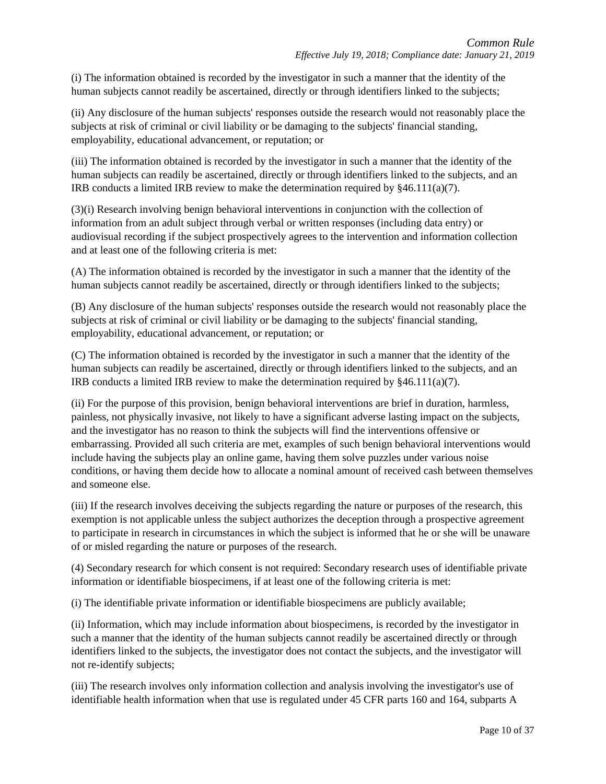(i) The information obtained is recorded by the investigator in such a manner that the identity of the human subjects cannot readily be ascertained, directly or through identifiers linked to the subjects;

(ii) Any disclosure of the human subjects' responses outside the research would not reasonably place the subjects at risk of criminal or civil liability or be damaging to the subjects' financial standing, employability, educational advancement, or reputation; or

(iii) The information obtained is recorded by the investigator in such a manner that the identity of the human subjects can readily be ascertained, directly or through identifiers linked to the subjects, and an IRB conducts a limited IRB review to make the determination required by  $§46.111(a)(7)$ .

(3)(i) Research involving benign behavioral interventions in conjunction with the collection of information from an adult subject through verbal or written responses (including data entry) or audiovisual recording if the subject prospectively agrees to the intervention and information collection and at least one of the following criteria is met:

(A) The information obtained is recorded by the investigator in such a manner that the identity of the human subjects cannot readily be ascertained, directly or through identifiers linked to the subjects;

(B) Any disclosure of the human subjects' responses outside the research would not reasonably place the subjects at risk of criminal or civil liability or be damaging to the subjects' financial standing, employability, educational advancement, or reputation; or

(C) The information obtained is recorded by the investigator in such a manner that the identity of the human subjects can readily be ascertained, directly or through identifiers linked to the subjects, and an IRB conducts a limited IRB review to make the determination required by  $§46.111(a)(7)$ .

(ii) For the purpose of this provision, benign behavioral interventions are brief in duration, harmless, painless, not physically invasive, not likely to have a significant adverse lasting impact on the subjects, and the investigator has no reason to think the subjects will find the interventions offensive or embarrassing. Provided all such criteria are met, examples of such benign behavioral interventions would include having the subjects play an online game, having them solve puzzles under various noise conditions, or having them decide how to allocate a nominal amount of received cash between themselves and someone else.

(iii) If the research involves deceiving the subjects regarding the nature or purposes of the research, this exemption is not applicable unless the subject authorizes the deception through a prospective agreement to participate in research in circumstances in which the subject is informed that he or she will be unaware of or misled regarding the nature or purposes of the research.

(4) Secondary research for which consent is not required: Secondary research uses of identifiable private information or identifiable biospecimens, if at least one of the following criteria is met:

(i) The identifiable private information or identifiable biospecimens are publicly available;

(ii) Information, which may include information about biospecimens, is recorded by the investigator in such a manner that the identity of the human subjects cannot readily be ascertained directly or through identifiers linked to the subjects, the investigator does not contact the subjects, and the investigator will not re-identify subjects;

(iii) The research involves only information collection and analysis involving the investigator's use of identifiable health information when that use is regulated under 45 CFR parts 160 and 164, subparts A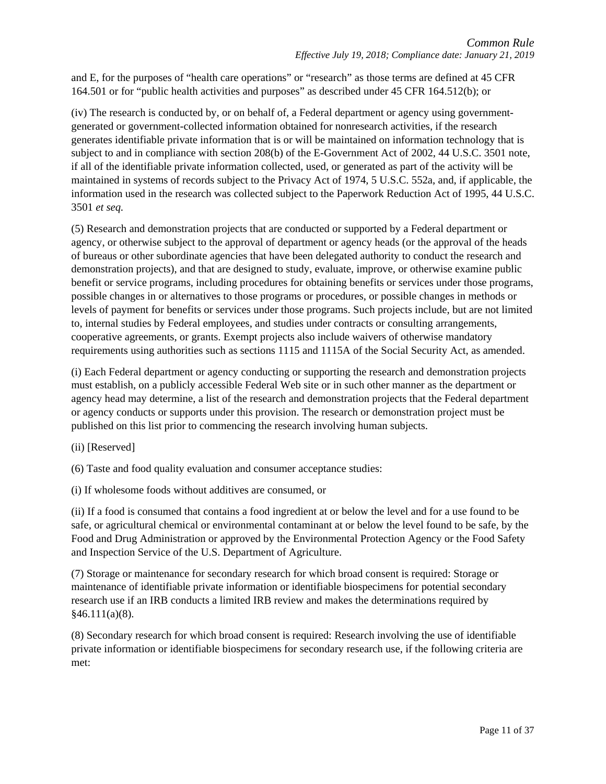and E, for the purposes of "health care operations" or "research" as those terms are defined at 45 CFR 164.501 or for "public health activities and purposes" as described under 45 CFR 164.512(b); or

(iv) The research is conducted by, or on behalf of, a Federal department or agency using governmentgenerated or government-collected information obtained for nonresearch activities, if the research generates identifiable private information that is or will be maintained on information technology that is subject to and in compliance with section 208(b) of the E-Government Act of 2002, 44 U.S.C. 3501 note, if all of the identifiable private information collected, used, or generated as part of the activity will be maintained in systems of records subject to the Privacy Act of 1974, 5 U.S.C. 552a, and, if applicable, the information used in the research was collected subject to the Paperwork Reduction Act of 1995, 44 U.S.C. 3501 *et seq.*

(5) Research and demonstration projects that are conducted or supported by a Federal department or agency, or otherwise subject to the approval of department or agency heads (or the approval of the heads of bureaus or other subordinate agencies that have been delegated authority to conduct the research and demonstration projects), and that are designed to study, evaluate, improve, or otherwise examine public benefit or service programs, including procedures for obtaining benefits or services under those programs, possible changes in or alternatives to those programs or procedures, or possible changes in methods or levels of payment for benefits or services under those programs. Such projects include, but are not limited to, internal studies by Federal employees, and studies under contracts or consulting arrangements, cooperative agreements, or grants. Exempt projects also include waivers of otherwise mandatory requirements using authorities such as sections 1115 and 1115A of the Social Security Act, as amended.

(i) Each Federal department or agency conducting or supporting the research and demonstration projects must establish, on a publicly accessible Federal Web site or in such other manner as the department or agency head may determine, a list of the research and demonstration projects that the Federal department or agency conducts or supports under this provision. The research or demonstration project must be published on this list prior to commencing the research involving human subjects.

- (ii) [Reserved]
- (6) Taste and food quality evaluation and consumer acceptance studies:
- (i) If wholesome foods without additives are consumed, or

(ii) If a food is consumed that contains a food ingredient at or below the level and for a use found to be safe, or agricultural chemical or environmental contaminant at or below the level found to be safe, by the Food and Drug Administration or approved by the Environmental Protection Agency or the Food Safety and Inspection Service of the U.S. Department of Agriculture.

(7) Storage or maintenance for secondary research for which broad consent is required: Storage or maintenance of identifiable private information or identifiable biospecimens for potential secondary research use if an IRB conducts a limited IRB review and makes the determinations required by §46.111(a)(8).

(8) Secondary research for which broad consent is required: Research involving the use of identifiable private information or identifiable biospecimens for secondary research use, if the following criteria are met: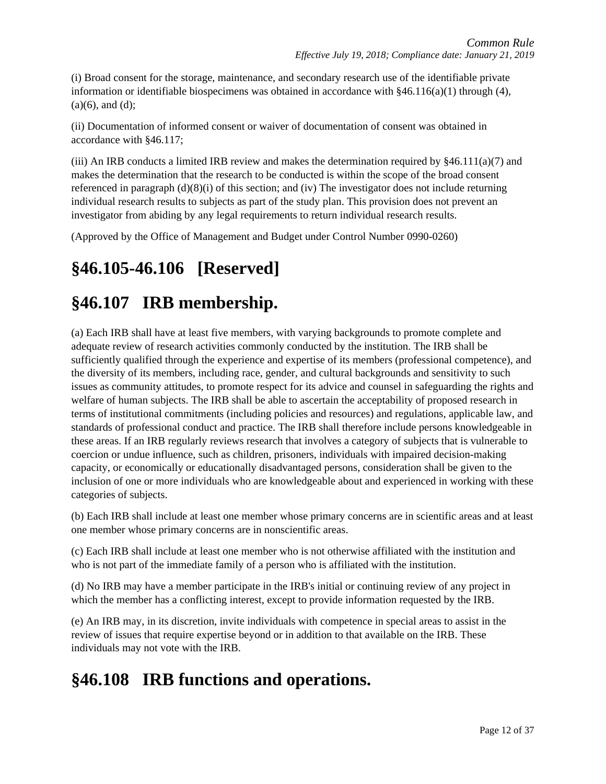(i) Broad consent for the storage, maintenance, and secondary research use of the identifiable private information or identifiable biospecimens was obtained in accordance with  $§46.116(a)(1)$  through (4),  $(a)(6)$ , and  $(d)$ ;

(ii) Documentation of informed consent or waiver of documentation of consent was obtained in accordance with §46.117;

(iii) An IRB conducts a limited IRB review and makes the determination required by  $§46.111(a)(7)$  and makes the determination that the research to be conducted is within the scope of the broad consent referenced in paragraph  $(d)(8)(i)$  of this section; and (iv) The investigator does not include returning individual research results to subjects as part of the study plan. This provision does not prevent an investigator from abiding by any legal requirements to return individual research results.

(Approved by the Office of Management and Budget under Control Number 0990-0260)

## **§46.105-46.106 [Reserved]**

#### **§46.107 IRB membership.**

(a) Each IRB shall have at least five members, with varying backgrounds to promote complete and adequate review of research activities commonly conducted by the institution. The IRB shall be sufficiently qualified through the experience and expertise of its members (professional competence), and the diversity of its members, including race, gender, and cultural backgrounds and sensitivity to such issues as community attitudes, to promote respect for its advice and counsel in safeguarding the rights and welfare of human subjects. The IRB shall be able to ascertain the acceptability of proposed research in terms of institutional commitments (including policies and resources) and regulations, applicable law, and standards of professional conduct and practice. The IRB shall therefore include persons knowledgeable in these areas. If an IRB regularly reviews research that involves a category of subjects that is vulnerable to coercion or undue influence, such as children, prisoners, individuals with impaired decision-making capacity, or economically or educationally disadvantaged persons, consideration shall be given to the inclusion of one or more individuals who are knowledgeable about and experienced in working with these categories of subjects.

(b) Each IRB shall include at least one member whose primary concerns are in scientific areas and at least one member whose primary concerns are in nonscientific areas.

(c) Each IRB shall include at least one member who is not otherwise affiliated with the institution and who is not part of the immediate family of a person who is affiliated with the institution.

(d) No IRB may have a member participate in the IRB's initial or continuing review of any project in which the member has a conflicting interest, except to provide information requested by the IRB.

(e) An IRB may, in its discretion, invite individuals with competence in special areas to assist in the review of issues that require expertise beyond or in addition to that available on the IRB. These individuals may not vote with the IRB.

## **§46.108 IRB functions and operations.**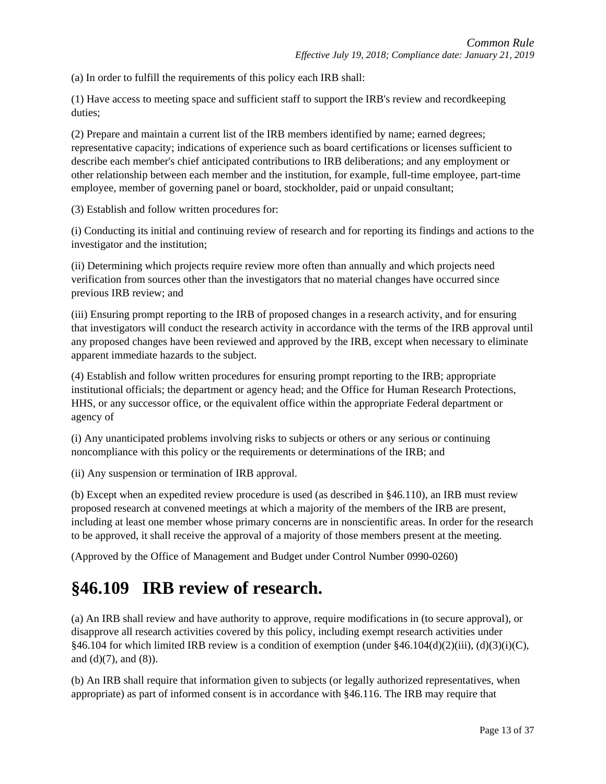(a) In order to fulfill the requirements of this policy each IRB shall:

(1) Have access to meeting space and sufficient staff to support the IRB's review and recordkeeping duties;

(2) Prepare and maintain a current list of the IRB members identified by name; earned degrees; representative capacity; indications of experience such as board certifications or licenses sufficient to describe each member's chief anticipated contributions to IRB deliberations; and any employment or other relationship between each member and the institution, for example, full-time employee, part-time employee, member of governing panel or board, stockholder, paid or unpaid consultant;

(3) Establish and follow written procedures for:

(i) Conducting its initial and continuing review of research and for reporting its findings and actions to the investigator and the institution;

(ii) Determining which projects require review more often than annually and which projects need verification from sources other than the investigators that no material changes have occurred since previous IRB review; and

(iii) Ensuring prompt reporting to the IRB of proposed changes in a research activity, and for ensuring that investigators will conduct the research activity in accordance with the terms of the IRB approval until any proposed changes have been reviewed and approved by the IRB, except when necessary to eliminate apparent immediate hazards to the subject.

(4) Establish and follow written procedures for ensuring prompt reporting to the IRB; appropriate institutional officials; the department or agency head; and the Office for Human Research Protections, HHS, or any successor office, or the equivalent office within the appropriate Federal department or agency of

(i) Any unanticipated problems involving risks to subjects or others or any serious or continuing noncompliance with this policy or the requirements or determinations of the IRB; and

(ii) Any suspension or termination of IRB approval.

(b) Except when an expedited review procedure is used (as described in §46.110), an IRB must review proposed research at convened meetings at which a majority of the members of the IRB are present, including at least one member whose primary concerns are in nonscientific areas. In order for the research to be approved, it shall receive the approval of a majority of those members present at the meeting.

(Approved by the Office of Management and Budget under Control Number 0990-0260)

# **§46.109 IRB review of research.**

(a) An IRB shall review and have authority to approve, require modifications in (to secure approval), or disapprove all research activities covered by this policy, including exempt research activities under §46.104 for which limited IRB review is a condition of exemption (under §46.104(d)(2)(iii), (d)(3)(i)(C), and (d)(7), and (8)).

(b) An IRB shall require that information given to subjects (or legally authorized representatives, when appropriate) as part of informed consent is in accordance with §46.116. The IRB may require that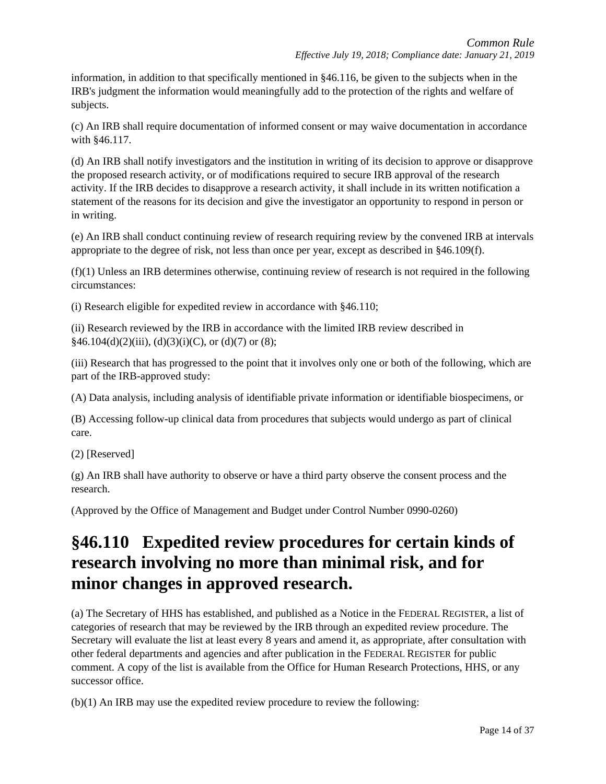information, in addition to that specifically mentioned in §46.116, be given to the subjects when in the IRB's judgment the information would meaningfully add to the protection of the rights and welfare of subjects.

(c) An IRB shall require documentation of informed consent or may waive documentation in accordance with §46.117.

(d) An IRB shall notify investigators and the institution in writing of its decision to approve or disapprove the proposed research activity, or of modifications required to secure IRB approval of the research activity. If the IRB decides to disapprove a research activity, it shall include in its written notification a statement of the reasons for its decision and give the investigator an opportunity to respond in person or in writing.

(e) An IRB shall conduct continuing review of research requiring review by the convened IRB at intervals appropriate to the degree of risk, not less than once per year, except as described in §46.109(f).

(f)(1) Unless an IRB determines otherwise, continuing review of research is not required in the following circumstances:

(i) Research eligible for expedited review in accordance with §46.110;

(ii) Research reviewed by the IRB in accordance with the limited IRB review described in  $§46.104(d)(2)(iii), (d)(3)(i)(C), or (d)(7) or (8);$ 

(iii) Research that has progressed to the point that it involves only one or both of the following, which are part of the IRB-approved study:

(A) Data analysis, including analysis of identifiable private information or identifiable biospecimens, or

(B) Accessing follow-up clinical data from procedures that subjects would undergo as part of clinical care.

(2) [Reserved]

(g) An IRB shall have authority to observe or have a third party observe the consent process and the research.

(Approved by the Office of Management and Budget under Control Number 0990-0260)

## **§46.110 Expedited review procedures for certain kinds of research involving no more than minimal risk, and for minor changes in approved research.**

(a) The Secretary of HHS has established, and published as a Notice in the FEDERAL REGISTER, a list of categories of research that may be reviewed by the IRB through an expedited review procedure. The Secretary will evaluate the list at least every 8 years and amend it, as appropriate, after consultation with other federal departments and agencies and after publication in the FEDERAL REGISTER for public comment. A copy of the list is available from the Office for Human Research Protections, HHS, or any successor office.

(b)(1) An IRB may use the expedited review procedure to review the following: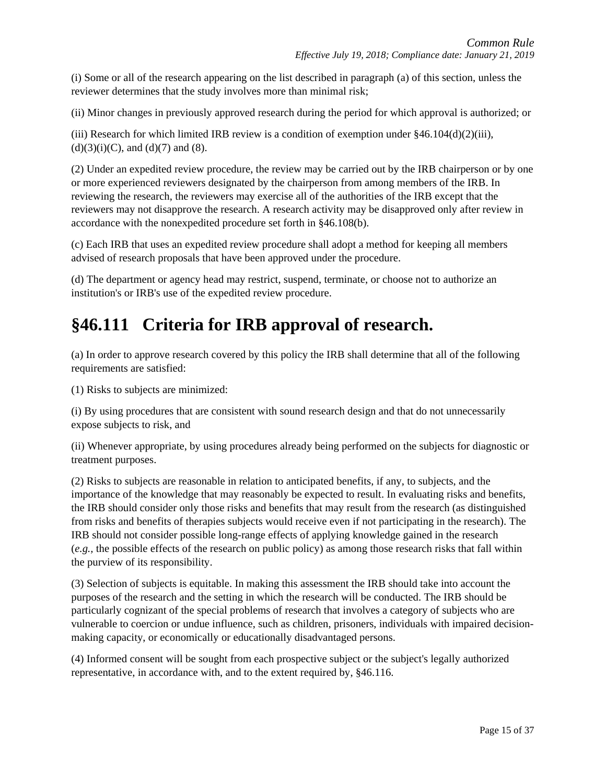(i) Some or all of the research appearing on the list described in paragraph (a) of this section, unless the reviewer determines that the study involves more than minimal risk;

(ii) Minor changes in previously approved research during the period for which approval is authorized; or

(iii) Research for which limited IRB review is a condition of exemption under  $\frac{846.104(d)(2)(iii)}{40}$ ,  $(d)(3)(i)(C)$ , and  $(d)(7)$  and  $(8)$ .

(2) Under an expedited review procedure, the review may be carried out by the IRB chairperson or by one or more experienced reviewers designated by the chairperson from among members of the IRB. In reviewing the research, the reviewers may exercise all of the authorities of the IRB except that the reviewers may not disapprove the research. A research activity may be disapproved only after review in accordance with the nonexpedited procedure set forth in §46.108(b).

(c) Each IRB that uses an expedited review procedure shall adopt a method for keeping all members advised of research proposals that have been approved under the procedure.

(d) The department or agency head may restrict, suspend, terminate, or choose not to authorize an institution's or IRB's use of the expedited review procedure.

## **§46.111 Criteria for IRB approval of research.**

(a) In order to approve research covered by this policy the IRB shall determine that all of the following requirements are satisfied:

(1) Risks to subjects are minimized:

(i) By using procedures that are consistent with sound research design and that do not unnecessarily expose subjects to risk, and

(ii) Whenever appropriate, by using procedures already being performed on the subjects for diagnostic or treatment purposes.

(2) Risks to subjects are reasonable in relation to anticipated benefits, if any, to subjects, and the importance of the knowledge that may reasonably be expected to result. In evaluating risks and benefits, the IRB should consider only those risks and benefits that may result from the research (as distinguished from risks and benefits of therapies subjects would receive even if not participating in the research). The IRB should not consider possible long-range effects of applying knowledge gained in the research (*e.g.,* the possible effects of the research on public policy) as among those research risks that fall within the purview of its responsibility.

(3) Selection of subjects is equitable. In making this assessment the IRB should take into account the purposes of the research and the setting in which the research will be conducted. The IRB should be particularly cognizant of the special problems of research that involves a category of subjects who are vulnerable to coercion or undue influence, such as children, prisoners, individuals with impaired decisionmaking capacity, or economically or educationally disadvantaged persons.

(4) Informed consent will be sought from each prospective subject or the subject's legally authorized representative, in accordance with, and to the extent required by, §46.116.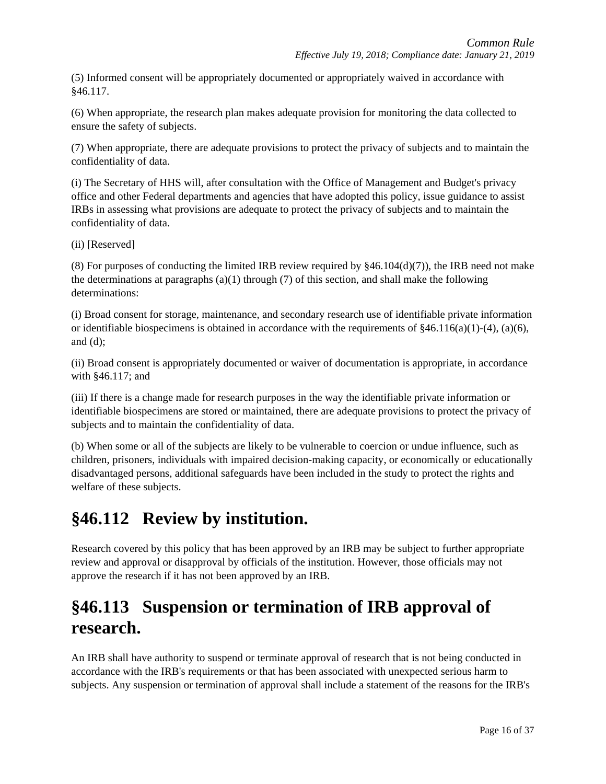(5) Informed consent will be appropriately documented or appropriately waived in accordance with §46.117.

(6) When appropriate, the research plan makes adequate provision for monitoring the data collected to ensure the safety of subjects.

(7) When appropriate, there are adequate provisions to protect the privacy of subjects and to maintain the confidentiality of data.

(i) The Secretary of HHS will, after consultation with the Office of Management and Budget's privacy office and other Federal departments and agencies that have adopted this policy, issue guidance to assist IRBs in assessing what provisions are adequate to protect the privacy of subjects and to maintain the confidentiality of data.

(ii) [Reserved]

(8) For purposes of conducting the limited IRB review required by  $§46.104(d)(7)$ ), the IRB need not make the determinations at paragraphs (a)(1) through (7) of this section, and shall make the following determinations:

(i) Broad consent for storage, maintenance, and secondary research use of identifiable private information or identifiable biospecimens is obtained in accordance with the requirements of  $§46.116(a)(1)-(4)$ , (a)(6), and  $(d)$ ;

(ii) Broad consent is appropriately documented or waiver of documentation is appropriate, in accordance with §46.117; and

(iii) If there is a change made for research purposes in the way the identifiable private information or identifiable biospecimens are stored or maintained, there are adequate provisions to protect the privacy of subjects and to maintain the confidentiality of data.

(b) When some or all of the subjects are likely to be vulnerable to coercion or undue influence, such as children, prisoners, individuals with impaired decision-making capacity, or economically or educationally disadvantaged persons, additional safeguards have been included in the study to protect the rights and welfare of these subjects.

## **§46.112 Review by institution.**

Research covered by this policy that has been approved by an IRB may be subject to further appropriate review and approval or disapproval by officials of the institution. However, those officials may not approve the research if it has not been approved by an IRB.

## **§46.113 Suspension or termination of IRB approval of research.**

An IRB shall have authority to suspend or terminate approval of research that is not being conducted in accordance with the IRB's requirements or that has been associated with unexpected serious harm to subjects. Any suspension or termination of approval shall include a statement of the reasons for the IRB's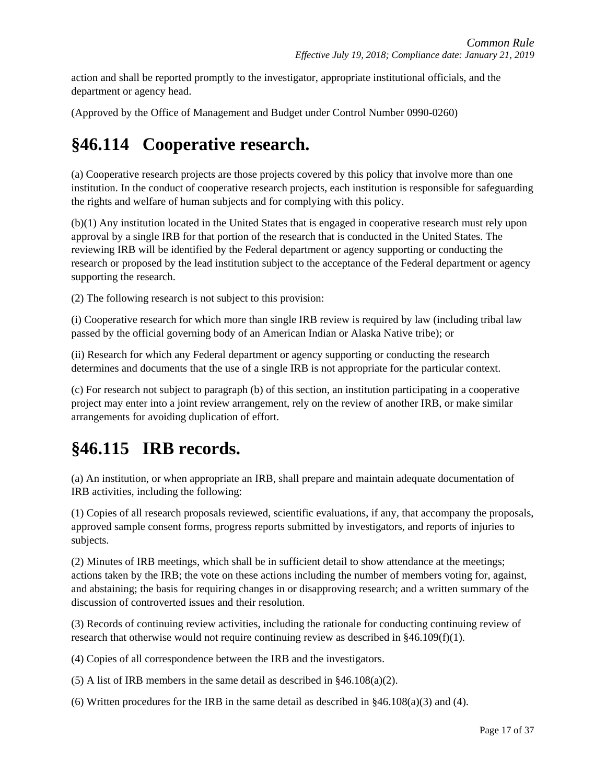action and shall be reported promptly to the investigator, appropriate institutional officials, and the department or agency head.

(Approved by the Office of Management and Budget under Control Number 0990-0260)

## **§46.114 Cooperative research.**

(a) Cooperative research projects are those projects covered by this policy that involve more than one institution. In the conduct of cooperative research projects, each institution is responsible for safeguarding the rights and welfare of human subjects and for complying with this policy.

(b)(1) Any institution located in the United States that is engaged in cooperative research must rely upon approval by a single IRB for that portion of the research that is conducted in the United States. The reviewing IRB will be identified by the Federal department or agency supporting or conducting the research or proposed by the lead institution subject to the acceptance of the Federal department or agency supporting the research.

(2) The following research is not subject to this provision:

(i) Cooperative research for which more than single IRB review is required by law (including tribal law passed by the official governing body of an American Indian or Alaska Native tribe); or

(ii) Research for which any Federal department or agency supporting or conducting the research determines and documents that the use of a single IRB is not appropriate for the particular context.

(c) For research not subject to paragraph (b) of this section, an institution participating in a cooperative project may enter into a joint review arrangement, rely on the review of another IRB, or make similar arrangements for avoiding duplication of effort.

#### **§46.115 IRB records.**

(a) An institution, or when appropriate an IRB, shall prepare and maintain adequate documentation of IRB activities, including the following:

(1) Copies of all research proposals reviewed, scientific evaluations, if any, that accompany the proposals, approved sample consent forms, progress reports submitted by investigators, and reports of injuries to subjects.

(2) Minutes of IRB meetings, which shall be in sufficient detail to show attendance at the meetings; actions taken by the IRB; the vote on these actions including the number of members voting for, against, and abstaining; the basis for requiring changes in or disapproving research; and a written summary of the discussion of controverted issues and their resolution.

(3) Records of continuing review activities, including the rationale for conducting continuing review of research that otherwise would not require continuing review as described in §46.109(f)(1).

(4) Copies of all correspondence between the IRB and the investigators.

(5) A list of IRB members in the same detail as described in §46.108(a)(2).

(6) Written procedures for the IRB in the same detail as described in  $§46.108(a)(3)$  and (4).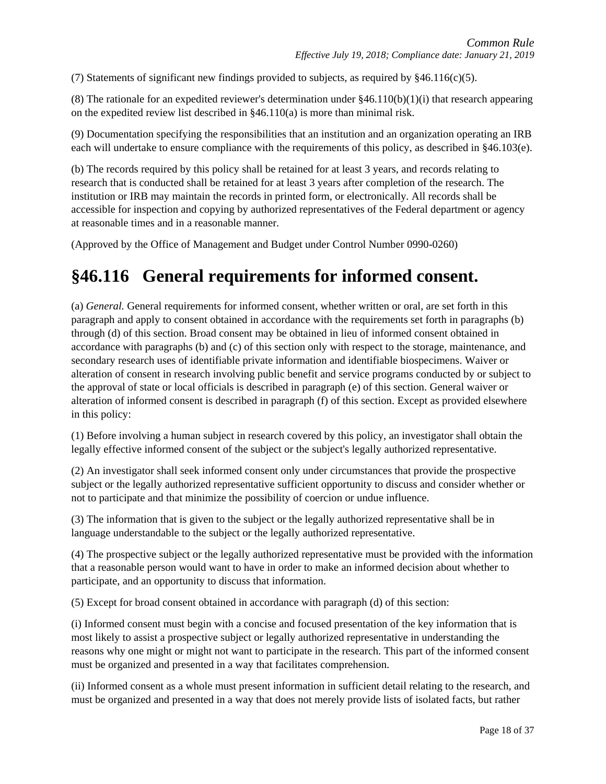(7) Statements of significant new findings provided to subjects, as required by  $§46.116(c)(5)$ .

(8) The rationale for an expedited reviewer's determination under  $§46.110(b)(1)(i)$  that research appearing on the expedited review list described in §46.110(a) is more than minimal risk.

(9) Documentation specifying the responsibilities that an institution and an organization operating an IRB each will undertake to ensure compliance with the requirements of this policy, as described in §46.103(e).

(b) The records required by this policy shall be retained for at least 3 years, and records relating to research that is conducted shall be retained for at least 3 years after completion of the research. The institution or IRB may maintain the records in printed form, or electronically. All records shall be accessible for inspection and copying by authorized representatives of the Federal department or agency at reasonable times and in a reasonable manner.

(Approved by the Office of Management and Budget under Control Number 0990-0260)

## **§46.116 General requirements for informed consent.**

(a) *General.* General requirements for informed consent, whether written or oral, are set forth in this paragraph and apply to consent obtained in accordance with the requirements set forth in paragraphs (b) through (d) of this section. Broad consent may be obtained in lieu of informed consent obtained in accordance with paragraphs (b) and (c) of this section only with respect to the storage, maintenance, and secondary research uses of identifiable private information and identifiable biospecimens. Waiver or alteration of consent in research involving public benefit and service programs conducted by or subject to the approval of state or local officials is described in paragraph (e) of this section. General waiver or alteration of informed consent is described in paragraph (f) of this section. Except as provided elsewhere in this policy:

(1) Before involving a human subject in research covered by this policy, an investigator shall obtain the legally effective informed consent of the subject or the subject's legally authorized representative.

(2) An investigator shall seek informed consent only under circumstances that provide the prospective subject or the legally authorized representative sufficient opportunity to discuss and consider whether or not to participate and that minimize the possibility of coercion or undue influence.

(3) The information that is given to the subject or the legally authorized representative shall be in language understandable to the subject or the legally authorized representative.

(4) The prospective subject or the legally authorized representative must be provided with the information that a reasonable person would want to have in order to make an informed decision about whether to participate, and an opportunity to discuss that information.

(5) Except for broad consent obtained in accordance with paragraph (d) of this section:

(i) Informed consent must begin with a concise and focused presentation of the key information that is most likely to assist a prospective subject or legally authorized representative in understanding the reasons why one might or might not want to participate in the research. This part of the informed consent must be organized and presented in a way that facilitates comprehension.

(ii) Informed consent as a whole must present information in sufficient detail relating to the research, and must be organized and presented in a way that does not merely provide lists of isolated facts, but rather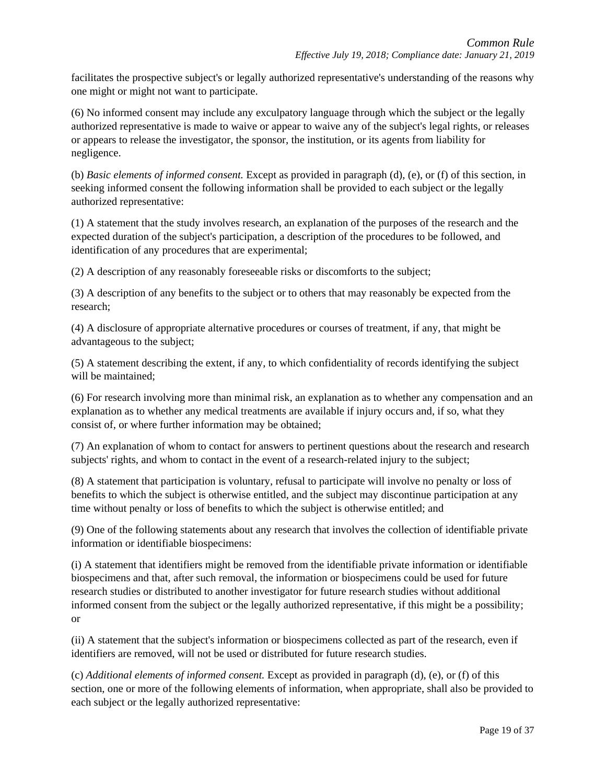facilitates the prospective subject's or legally authorized representative's understanding of the reasons why one might or might not want to participate.

(6) No informed consent may include any exculpatory language through which the subject or the legally authorized representative is made to waive or appear to waive any of the subject's legal rights, or releases or appears to release the investigator, the sponsor, the institution, or its agents from liability for negligence.

(b) *Basic elements of informed consent.* Except as provided in paragraph (d), (e), or (f) of this section, in seeking informed consent the following information shall be provided to each subject or the legally authorized representative:

(1) A statement that the study involves research, an explanation of the purposes of the research and the expected duration of the subject's participation, a description of the procedures to be followed, and identification of any procedures that are experimental;

(2) A description of any reasonably foreseeable risks or discomforts to the subject;

(3) A description of any benefits to the subject or to others that may reasonably be expected from the research;

(4) A disclosure of appropriate alternative procedures or courses of treatment, if any, that might be advantageous to the subject;

(5) A statement describing the extent, if any, to which confidentiality of records identifying the subject will be maintained;

(6) For research involving more than minimal risk, an explanation as to whether any compensation and an explanation as to whether any medical treatments are available if injury occurs and, if so, what they consist of, or where further information may be obtained;

(7) An explanation of whom to contact for answers to pertinent questions about the research and research subjects' rights, and whom to contact in the event of a research-related injury to the subject;

(8) A statement that participation is voluntary, refusal to participate will involve no penalty or loss of benefits to which the subject is otherwise entitled, and the subject may discontinue participation at any time without penalty or loss of benefits to which the subject is otherwise entitled; and

(9) One of the following statements about any research that involves the collection of identifiable private information or identifiable biospecimens:

(i) A statement that identifiers might be removed from the identifiable private information or identifiable biospecimens and that, after such removal, the information or biospecimens could be used for future research studies or distributed to another investigator for future research studies without additional informed consent from the subject or the legally authorized representative, if this might be a possibility; or

(ii) A statement that the subject's information or biospecimens collected as part of the research, even if identifiers are removed, will not be used or distributed for future research studies.

(c) *Additional elements of informed consent.* Except as provided in paragraph (d), (e), or (f) of this section, one or more of the following elements of information, when appropriate, shall also be provided to each subject or the legally authorized representative: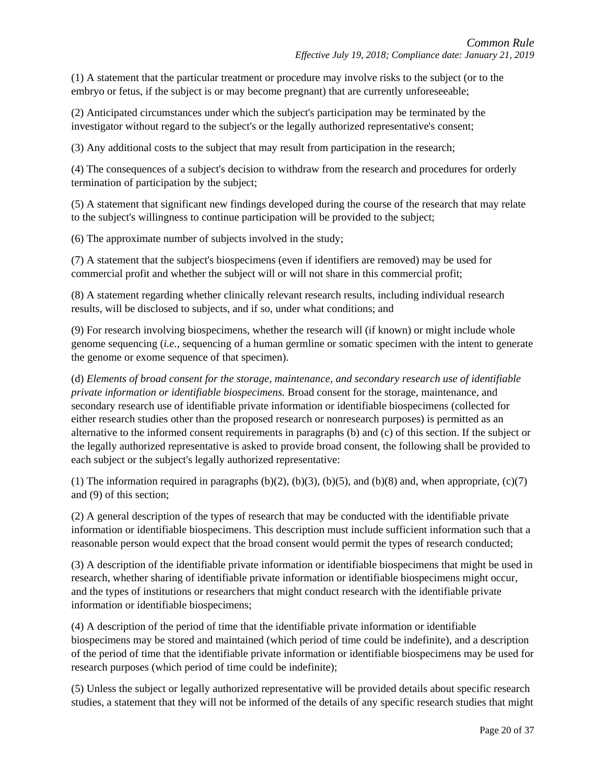(1) A statement that the particular treatment or procedure may involve risks to the subject (or to the embryo or fetus, if the subject is or may become pregnant) that are currently unforeseeable;

(2) Anticipated circumstances under which the subject's participation may be terminated by the investigator without regard to the subject's or the legally authorized representative's consent;

(3) Any additional costs to the subject that may result from participation in the research;

(4) The consequences of a subject's decision to withdraw from the research and procedures for orderly termination of participation by the subject;

(5) A statement that significant new findings developed during the course of the research that may relate to the subject's willingness to continue participation will be provided to the subject;

(6) The approximate number of subjects involved in the study;

(7) A statement that the subject's biospecimens (even if identifiers are removed) may be used for commercial profit and whether the subject will or will not share in this commercial profit;

(8) A statement regarding whether clinically relevant research results, including individual research results, will be disclosed to subjects, and if so, under what conditions; and

(9) For research involving biospecimens, whether the research will (if known) or might include whole genome sequencing (*i.e.,* sequencing of a human germline or somatic specimen with the intent to generate the genome or exome sequence of that specimen).

(d) *Elements of broad consent for the storage, maintenance, and secondary research use of identifiable private information or identifiable biospecimens.* Broad consent for the storage, maintenance, and secondary research use of identifiable private information or identifiable biospecimens (collected for either research studies other than the proposed research or nonresearch purposes) is permitted as an alternative to the informed consent requirements in paragraphs (b) and (c) of this section. If the subject or the legally authorized representative is asked to provide broad consent, the following shall be provided to each subject or the subject's legally authorized representative:

(1) The information required in paragraphs  $(b)(2)$ ,  $(b)(3)$ ,  $(b)(5)$ , and  $(b)(8)$  and, when appropriate,  $(c)(7)$ and (9) of this section;

(2) A general description of the types of research that may be conducted with the identifiable private information or identifiable biospecimens. This description must include sufficient information such that a reasonable person would expect that the broad consent would permit the types of research conducted;

(3) A description of the identifiable private information or identifiable biospecimens that might be used in research, whether sharing of identifiable private information or identifiable biospecimens might occur, and the types of institutions or researchers that might conduct research with the identifiable private information or identifiable biospecimens;

(4) A description of the period of time that the identifiable private information or identifiable biospecimens may be stored and maintained (which period of time could be indefinite), and a description of the period of time that the identifiable private information or identifiable biospecimens may be used for research purposes (which period of time could be indefinite);

(5) Unless the subject or legally authorized representative will be provided details about specific research studies, a statement that they will not be informed of the details of any specific research studies that might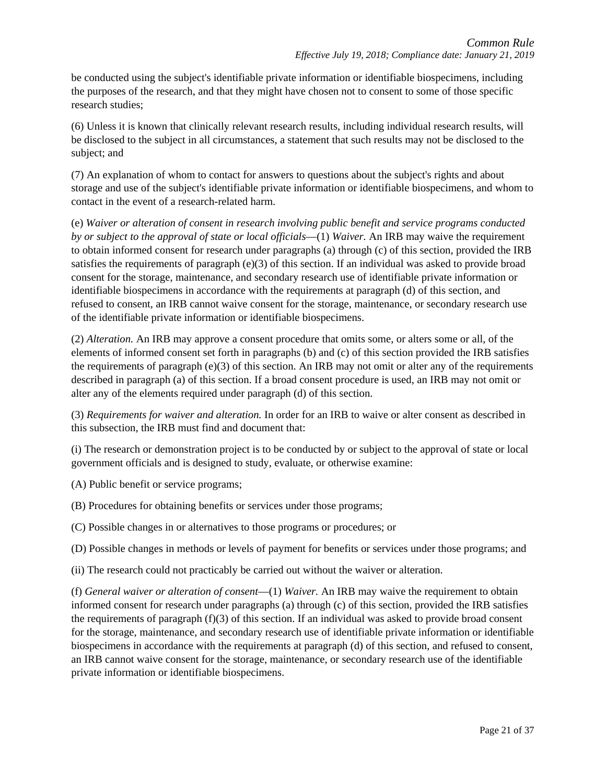be conducted using the subject's identifiable private information or identifiable biospecimens, including the purposes of the research, and that they might have chosen not to consent to some of those specific research studies;

(6) Unless it is known that clinically relevant research results, including individual research results, will be disclosed to the subject in all circumstances, a statement that such results may not be disclosed to the subject; and

(7) An explanation of whom to contact for answers to questions about the subject's rights and about storage and use of the subject's identifiable private information or identifiable biospecimens, and whom to contact in the event of a research-related harm.

(e) *Waiver or alteration of consent in research involving public benefit and service programs conducted by or subject to the approval of state or local officials*—(1) *Waiver.* An IRB may waive the requirement to obtain informed consent for research under paragraphs (a) through (c) of this section, provided the IRB satisfies the requirements of paragraph (e)(3) of this section. If an individual was asked to provide broad consent for the storage, maintenance, and secondary research use of identifiable private information or identifiable biospecimens in accordance with the requirements at paragraph (d) of this section, and refused to consent, an IRB cannot waive consent for the storage, maintenance, or secondary research use of the identifiable private information or identifiable biospecimens.

(2) *Alteration.* An IRB may approve a consent procedure that omits some, or alters some or all, of the elements of informed consent set forth in paragraphs (b) and (c) of this section provided the IRB satisfies the requirements of paragraph (e)(3) of this section. An IRB may not omit or alter any of the requirements described in paragraph (a) of this section. If a broad consent procedure is used, an IRB may not omit or alter any of the elements required under paragraph (d) of this section.

(3) *Requirements for waiver and alteration.* In order for an IRB to waive or alter consent as described in this subsection, the IRB must find and document that:

(i) The research or demonstration project is to be conducted by or subject to the approval of state or local government officials and is designed to study, evaluate, or otherwise examine:

(A) Public benefit or service programs;

(B) Procedures for obtaining benefits or services under those programs;

(C) Possible changes in or alternatives to those programs or procedures; or

(D) Possible changes in methods or levels of payment for benefits or services under those programs; and

(ii) The research could not practicably be carried out without the waiver or alteration.

(f) *General waiver or alteration of consent*—(1) *Waiver.* An IRB may waive the requirement to obtain informed consent for research under paragraphs (a) through (c) of this section, provided the IRB satisfies the requirements of paragraph  $(f)(3)$  of this section. If an individual was asked to provide broad consent for the storage, maintenance, and secondary research use of identifiable private information or identifiable biospecimens in accordance with the requirements at paragraph (d) of this section, and refused to consent, an IRB cannot waive consent for the storage, maintenance, or secondary research use of the identifiable private information or identifiable biospecimens.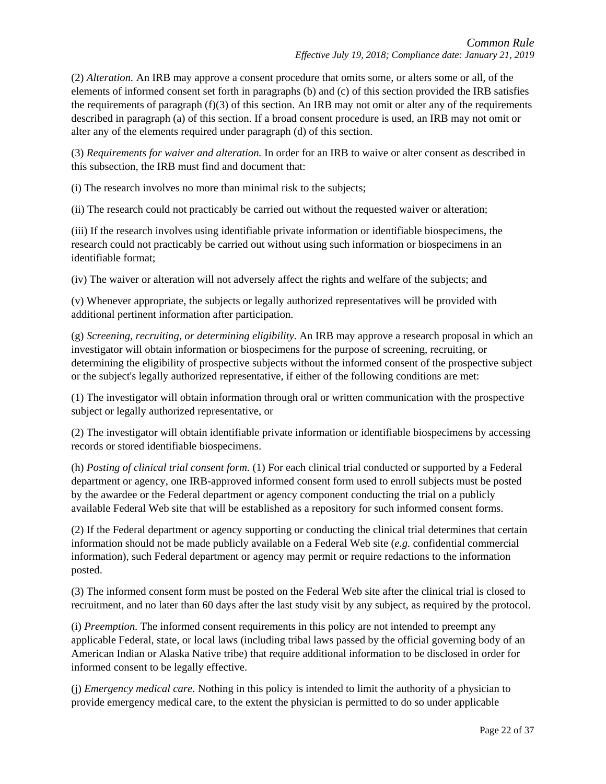(2) *Alteration.* An IRB may approve a consent procedure that omits some, or alters some or all, of the elements of informed consent set forth in paragraphs (b) and (c) of this section provided the IRB satisfies the requirements of paragraph  $(f)(3)$  of this section. An IRB may not omit or alter any of the requirements described in paragraph (a) of this section. If a broad consent procedure is used, an IRB may not omit or alter any of the elements required under paragraph (d) of this section.

(3) *Requirements for waiver and alteration.* In order for an IRB to waive or alter consent as described in this subsection, the IRB must find and document that:

(i) The research involves no more than minimal risk to the subjects;

(ii) The research could not practicably be carried out without the requested waiver or alteration;

(iii) If the research involves using identifiable private information or identifiable biospecimens, the research could not practicably be carried out without using such information or biospecimens in an identifiable format;

(iv) The waiver or alteration will not adversely affect the rights and welfare of the subjects; and

(v) Whenever appropriate, the subjects or legally authorized representatives will be provided with additional pertinent information after participation.

(g) *Screening, recruiting, or determining eligibility.* An IRB may approve a research proposal in which an investigator will obtain information or biospecimens for the purpose of screening, recruiting, or determining the eligibility of prospective subjects without the informed consent of the prospective subject or the subject's legally authorized representative, if either of the following conditions are met:

(1) The investigator will obtain information through oral or written communication with the prospective subject or legally authorized representative, or

(2) The investigator will obtain identifiable private information or identifiable biospecimens by accessing records or stored identifiable biospecimens.

(h) *Posting of clinical trial consent form.* (1) For each clinical trial conducted or supported by a Federal department or agency, one IRB-approved informed consent form used to enroll subjects must be posted by the awardee or the Federal department or agency component conducting the trial on a publicly available Federal Web site that will be established as a repository for such informed consent forms.

(2) If the Federal department or agency supporting or conducting the clinical trial determines that certain information should not be made publicly available on a Federal Web site (*e.g.* confidential commercial information), such Federal department or agency may permit or require redactions to the information posted.

(3) The informed consent form must be posted on the Federal Web site after the clinical trial is closed to recruitment, and no later than 60 days after the last study visit by any subject, as required by the protocol.

(i) *Preemption.* The informed consent requirements in this policy are not intended to preempt any applicable Federal, state, or local laws (including tribal laws passed by the official governing body of an American Indian or Alaska Native tribe) that require additional information to be disclosed in order for informed consent to be legally effective.

(j) *Emergency medical care.* Nothing in this policy is intended to limit the authority of a physician to provide emergency medical care, to the extent the physician is permitted to do so under applicable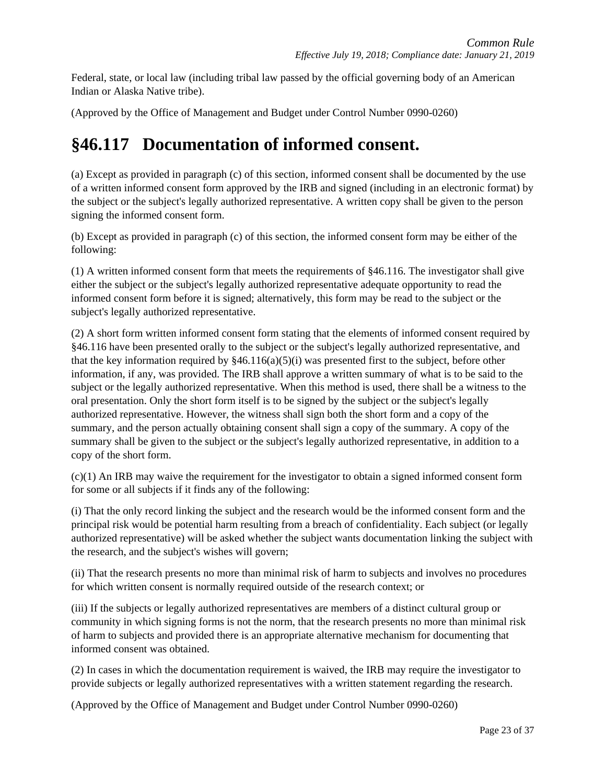Federal, state, or local law (including tribal law passed by the official governing body of an American Indian or Alaska Native tribe).

(Approved by the Office of Management and Budget under Control Number 0990-0260)

#### **§46.117 Documentation of informed consent.**

(a) Except as provided in paragraph (c) of this section, informed consent shall be documented by the use of a written informed consent form approved by the IRB and signed (including in an electronic format) by the subject or the subject's legally authorized representative. A written copy shall be given to the person signing the informed consent form.

(b) Except as provided in paragraph (c) of this section, the informed consent form may be either of the following:

(1) A written informed consent form that meets the requirements of §46.116. The investigator shall give either the subject or the subject's legally authorized representative adequate opportunity to read the informed consent form before it is signed; alternatively, this form may be read to the subject or the subject's legally authorized representative.

(2) A short form written informed consent form stating that the elements of informed consent required by §46.116 have been presented orally to the subject or the subject's legally authorized representative, and that the key information required by  $§46.116(a)(5)(i)$  was presented first to the subject, before other information, if any, was provided. The IRB shall approve a written summary of what is to be said to the subject or the legally authorized representative. When this method is used, there shall be a witness to the oral presentation. Only the short form itself is to be signed by the subject or the subject's legally authorized representative. However, the witness shall sign both the short form and a copy of the summary, and the person actually obtaining consent shall sign a copy of the summary. A copy of the summary shall be given to the subject or the subject's legally authorized representative, in addition to a copy of the short form.

(c)(1) An IRB may waive the requirement for the investigator to obtain a signed informed consent form for some or all subjects if it finds any of the following:

(i) That the only record linking the subject and the research would be the informed consent form and the principal risk would be potential harm resulting from a breach of confidentiality. Each subject (or legally authorized representative) will be asked whether the subject wants documentation linking the subject with the research, and the subject's wishes will govern;

(ii) That the research presents no more than minimal risk of harm to subjects and involves no procedures for which written consent is normally required outside of the research context; or

(iii) If the subjects or legally authorized representatives are members of a distinct cultural group or community in which signing forms is not the norm, that the research presents no more than minimal risk of harm to subjects and provided there is an appropriate alternative mechanism for documenting that informed consent was obtained.

(2) In cases in which the documentation requirement is waived, the IRB may require the investigator to provide subjects or legally authorized representatives with a written statement regarding the research.

(Approved by the Office of Management and Budget under Control Number 0990-0260)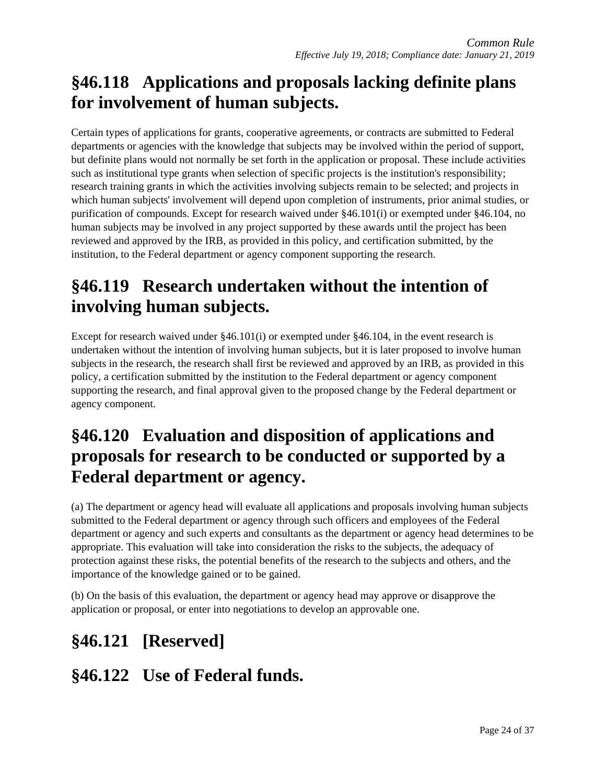## **§46.118 Applications and proposals lacking definite plans for involvement of human subjects.**

Certain types of applications for grants, cooperative agreements, or contracts are submitted to Federal departments or agencies with the knowledge that subjects may be involved within the period of support, but definite plans would not normally be set forth in the application or proposal. These include activities such as institutional type grants when selection of specific projects is the institution's responsibility; research training grants in which the activities involving subjects remain to be selected; and projects in which human subjects' involvement will depend upon completion of instruments, prior animal studies, or purification of compounds. Except for research waived under §46.101(i) or exempted under §46.104, no human subjects may be involved in any project supported by these awards until the project has been reviewed and approved by the IRB, as provided in this policy, and certification submitted, by the institution, to the Federal department or agency component supporting the research.

## **§46.119 Research undertaken without the intention of involving human subjects.**

Except for research waived under §46.101(i) or exempted under §46.104, in the event research is undertaken without the intention of involving human subjects, but it is later proposed to involve human subjects in the research, the research shall first be reviewed and approved by an IRB, as provided in this policy, a certification submitted by the institution to the Federal department or agency component supporting the research, and final approval given to the proposed change by the Federal department or agency component.

## **§46.120 Evaluation and disposition of applications and proposals for research to be conducted or supported by a Federal department or agency.**

(a) The department or agency head will evaluate all applications and proposals involving human subjects submitted to the Federal department or agency through such officers and employees of the Federal department or agency and such experts and consultants as the department or agency head determines to be appropriate. This evaluation will take into consideration the risks to the subjects, the adequacy of protection against these risks, the potential benefits of the research to the subjects and others, and the importance of the knowledge gained or to be gained.

(b) On the basis of this evaluation, the department or agency head may approve or disapprove the application or proposal, or enter into negotiations to develop an approvable one.

# **§46.121 [Reserved]**

## **§46.122 Use of Federal funds.**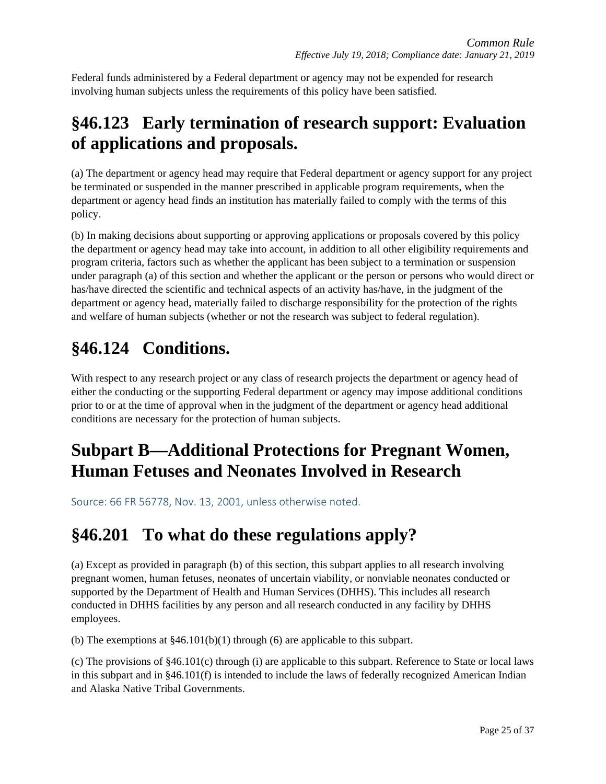Federal funds administered by a Federal department or agency may not be expended for research involving human subjects unless the requirements of this policy have been satisfied.

## **§46.123 Early termination of research support: Evaluation of applications and proposals.**

(a) The department or agency head may require that Federal department or agency support for any project be terminated or suspended in the manner prescribed in applicable program requirements, when the department or agency head finds an institution has materially failed to comply with the terms of this policy.

(b) In making decisions about supporting or approving applications or proposals covered by this policy the department or agency head may take into account, in addition to all other eligibility requirements and program criteria, factors such as whether the applicant has been subject to a termination or suspension under paragraph (a) of this section and whether the applicant or the person or persons who would direct or has/have directed the scientific and technical aspects of an activity has/have, in the judgment of the department or agency head, materially failed to discharge responsibility for the protection of the rights and welfare of human subjects (whether or not the research was subject to federal regulation).

## **§46.124 Conditions.**

With respect to any research project or any class of research projects the department or agency head of either the conducting or the supporting Federal department or agency may impose additional conditions prior to or at the time of approval when in the judgment of the department or agency head additional conditions are necessary for the protection of human subjects.

## **Subpart B—Additional Protections for Pregnant Women, Human Fetuses and Neonates Involved in Research**

Source: 66 FR 56778, Nov. 13, 2001, unless otherwise noted.

## **§46.201 To what do these regulations apply?**

(a) Except as provided in paragraph (b) of this section, this subpart applies to all research involving pregnant women, human fetuses, neonates of uncertain viability, or nonviable neonates conducted or supported by the Department of Health and Human Services (DHHS). This includes all research conducted in DHHS facilities by any person and all research conducted in any facility by DHHS employees.

(b) The exemptions at §46.101(b)(1) through (6) are applicable to this subpart.

(c) The provisions of §46.101(c) through (i) are applicable to this subpart. Reference to State or local laws in this subpart and in §46.101(f) is intended to include the laws of federally recognized American Indian and Alaska Native Tribal Governments.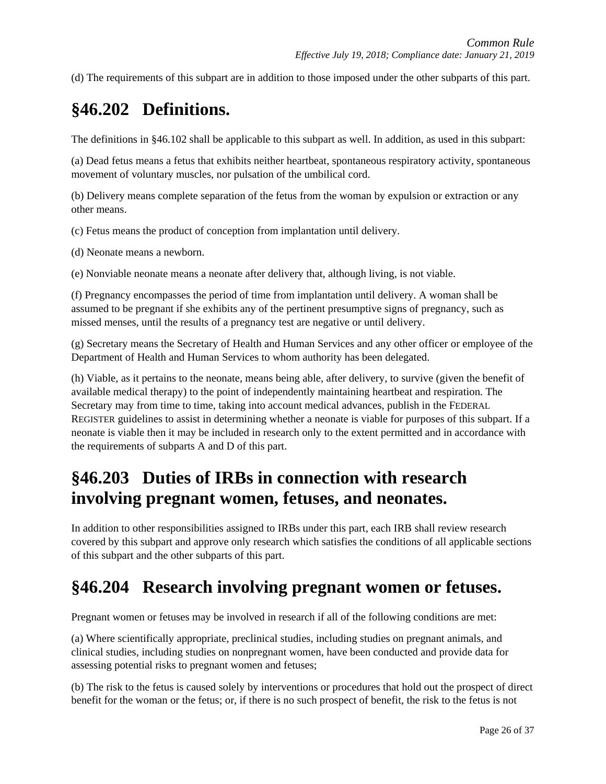(d) The requirements of this subpart are in addition to those imposed under the other subparts of this part.

## **§46.202 Definitions.**

The definitions in §46.102 shall be applicable to this subpart as well. In addition, as used in this subpart:

(a) Dead fetus means a fetus that exhibits neither heartbeat, spontaneous respiratory activity, spontaneous movement of voluntary muscles, nor pulsation of the umbilical cord.

(b) Delivery means complete separation of the fetus from the woman by expulsion or extraction or any other means.

(c) Fetus means the product of conception from implantation until delivery.

(d) Neonate means a newborn.

(e) Nonviable neonate means a neonate after delivery that, although living, is not viable.

(f) Pregnancy encompasses the period of time from implantation until delivery. A woman shall be assumed to be pregnant if she exhibits any of the pertinent presumptive signs of pregnancy, such as missed menses, until the results of a pregnancy test are negative or until delivery.

(g) Secretary means the Secretary of Health and Human Services and any other officer or employee of the Department of Health and Human Services to whom authority has been delegated.

(h) Viable, as it pertains to the neonate, means being able, after delivery, to survive (given the benefit of available medical therapy) to the point of independently maintaining heartbeat and respiration. The Secretary may from time to time, taking into account medical advances, publish in the FEDERAL REGISTER guidelines to assist in determining whether a neonate is viable for purposes of this subpart. If a neonate is viable then it may be included in research only to the extent permitted and in accordance with the requirements of subparts A and D of this part.

## **§46.203 Duties of IRBs in connection with research involving pregnant women, fetuses, and neonates.**

In addition to other responsibilities assigned to IRBs under this part, each IRB shall review research covered by this subpart and approve only research which satisfies the conditions of all applicable sections of this subpart and the other subparts of this part.

#### **§46.204 Research involving pregnant women or fetuses.**

Pregnant women or fetuses may be involved in research if all of the following conditions are met:

(a) Where scientifically appropriate, preclinical studies, including studies on pregnant animals, and clinical studies, including studies on nonpregnant women, have been conducted and provide data for assessing potential risks to pregnant women and fetuses;

(b) The risk to the fetus is caused solely by interventions or procedures that hold out the prospect of direct benefit for the woman or the fetus; or, if there is no such prospect of benefit, the risk to the fetus is not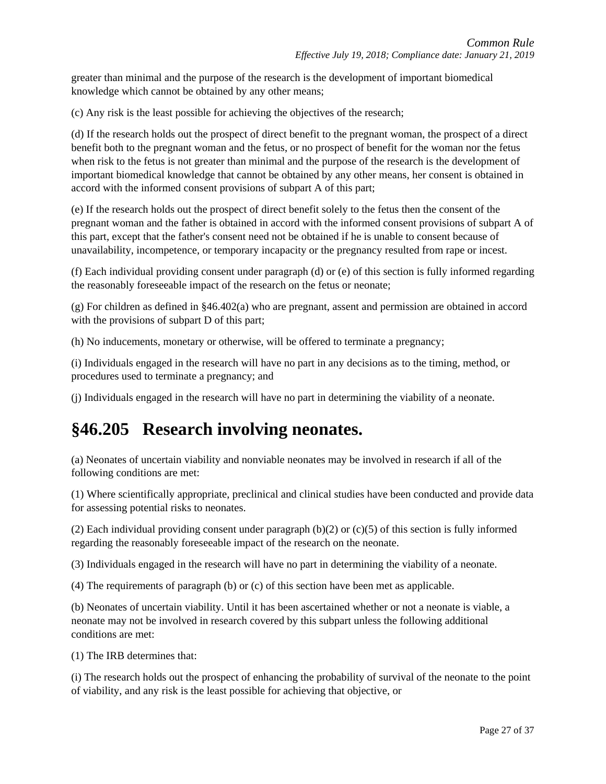greater than minimal and the purpose of the research is the development of important biomedical knowledge which cannot be obtained by any other means;

(c) Any risk is the least possible for achieving the objectives of the research;

(d) If the research holds out the prospect of direct benefit to the pregnant woman, the prospect of a direct benefit both to the pregnant woman and the fetus, or no prospect of benefit for the woman nor the fetus when risk to the fetus is not greater than minimal and the purpose of the research is the development of important biomedical knowledge that cannot be obtained by any other means, her consent is obtained in accord with the informed consent provisions of subpart A of this part;

(e) If the research holds out the prospect of direct benefit solely to the fetus then the consent of the pregnant woman and the father is obtained in accord with the informed consent provisions of subpart A of this part, except that the father's consent need not be obtained if he is unable to consent because of unavailability, incompetence, or temporary incapacity or the pregnancy resulted from rape or incest.

(f) Each individual providing consent under paragraph (d) or (e) of this section is fully informed regarding the reasonably foreseeable impact of the research on the fetus or neonate;

(g) For children as defined in §46.402(a) who are pregnant, assent and permission are obtained in accord with the provisions of subpart D of this part;

(h) No inducements, monetary or otherwise, will be offered to terminate a pregnancy;

(i) Individuals engaged in the research will have no part in any decisions as to the timing, method, or procedures used to terminate a pregnancy; and

(j) Individuals engaged in the research will have no part in determining the viability of a neonate.

#### **§46.205 Research involving neonates.**

(a) Neonates of uncertain viability and nonviable neonates may be involved in research if all of the following conditions are met:

(1) Where scientifically appropriate, preclinical and clinical studies have been conducted and provide data for assessing potential risks to neonates.

(2) Each individual providing consent under paragraph (b)(2) or (c)(5) of this section is fully informed regarding the reasonably foreseeable impact of the research on the neonate.

(3) Individuals engaged in the research will have no part in determining the viability of a neonate.

(4) The requirements of paragraph (b) or (c) of this section have been met as applicable.

(b) Neonates of uncertain viability. Until it has been ascertained whether or not a neonate is viable, a neonate may not be involved in research covered by this subpart unless the following additional conditions are met:

(1) The IRB determines that:

(i) The research holds out the prospect of enhancing the probability of survival of the neonate to the point of viability, and any risk is the least possible for achieving that objective, or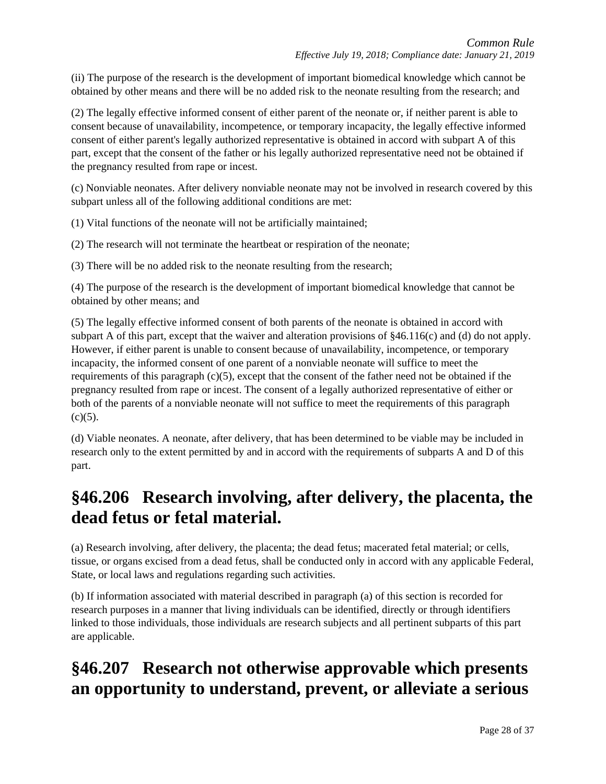(ii) The purpose of the research is the development of important biomedical knowledge which cannot be obtained by other means and there will be no added risk to the neonate resulting from the research; and

(2) The legally effective informed consent of either parent of the neonate or, if neither parent is able to consent because of unavailability, incompetence, or temporary incapacity, the legally effective informed consent of either parent's legally authorized representative is obtained in accord with subpart A of this part, except that the consent of the father or his legally authorized representative need not be obtained if the pregnancy resulted from rape or incest.

(c) Nonviable neonates. After delivery nonviable neonate may not be involved in research covered by this subpart unless all of the following additional conditions are met:

(1) Vital functions of the neonate will not be artificially maintained;

(2) The research will not terminate the heartbeat or respiration of the neonate;

(3) There will be no added risk to the neonate resulting from the research;

(4) The purpose of the research is the development of important biomedical knowledge that cannot be obtained by other means; and

(5) The legally effective informed consent of both parents of the neonate is obtained in accord with subpart A of this part, except that the waiver and alteration provisions of §46.116(c) and (d) do not apply. However, if either parent is unable to consent because of unavailability, incompetence, or temporary incapacity, the informed consent of one parent of a nonviable neonate will suffice to meet the requirements of this paragraph  $(c)(5)$ , except that the consent of the father need not be obtained if the pregnancy resulted from rape or incest. The consent of a legally authorized representative of either or both of the parents of a nonviable neonate will not suffice to meet the requirements of this paragraph  $(c)(5)$ .

(d) Viable neonates. A neonate, after delivery, that has been determined to be viable may be included in research only to the extent permitted by and in accord with the requirements of subparts A and D of this part.

## **§46.206 Research involving, after delivery, the placenta, the dead fetus or fetal material.**

(a) Research involving, after delivery, the placenta; the dead fetus; macerated fetal material; or cells, tissue, or organs excised from a dead fetus, shall be conducted only in accord with any applicable Federal, State, or local laws and regulations regarding such activities.

(b) If information associated with material described in paragraph (a) of this section is recorded for research purposes in a manner that living individuals can be identified, directly or through identifiers linked to those individuals, those individuals are research subjects and all pertinent subparts of this part are applicable.

## **§46.207 Research not otherwise approvable which presents an opportunity to understand, prevent, or alleviate a serious**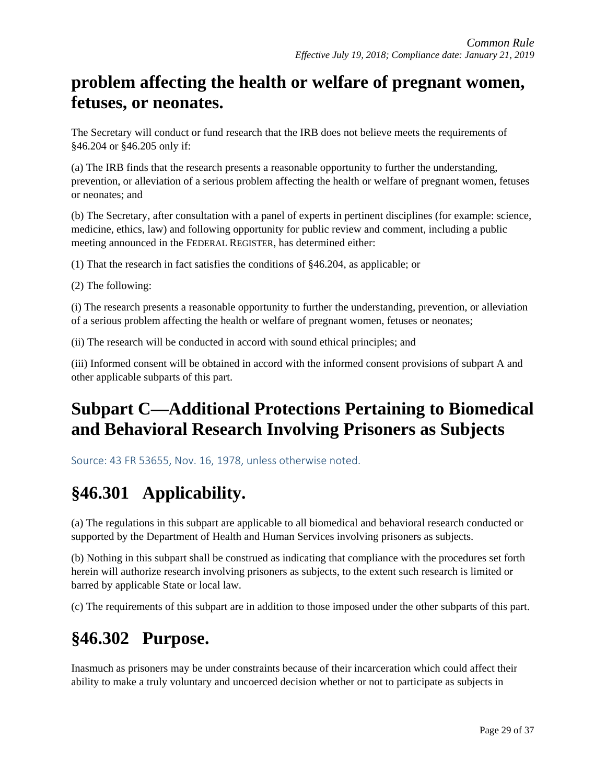## **problem affecting the health or welfare of pregnant women, fetuses, or neonates.**

The Secretary will conduct or fund research that the IRB does not believe meets the requirements of §46.204 or §46.205 only if:

(a) The IRB finds that the research presents a reasonable opportunity to further the understanding, prevention, or alleviation of a serious problem affecting the health or welfare of pregnant women, fetuses or neonates; and

(b) The Secretary, after consultation with a panel of experts in pertinent disciplines (for example: science, medicine, ethics, law) and following opportunity for public review and comment, including a public meeting announced in the FEDERAL REGISTER, has determined either:

(1) That the research in fact satisfies the conditions of §46.204, as applicable; or

(2) The following:

(i) The research presents a reasonable opportunity to further the understanding, prevention, or alleviation of a serious problem affecting the health or welfare of pregnant women, fetuses or neonates;

(ii) The research will be conducted in accord with sound ethical principles; and

(iii) Informed consent will be obtained in accord with the informed consent provisions of subpart A and other applicable subparts of this part.

## **Subpart C—Additional Protections Pertaining to Biomedical and Behavioral Research Involving Prisoners as Subjects**

Source: 43 FR 53655, Nov. 16, 1978, unless otherwise noted.

## **§46.301 Applicability.**

(a) The regulations in this subpart are applicable to all biomedical and behavioral research conducted or supported by the Department of Health and Human Services involving prisoners as subjects.

(b) Nothing in this subpart shall be construed as indicating that compliance with the procedures set forth herein will authorize research involving prisoners as subjects, to the extent such research is limited or barred by applicable State or local law.

(c) The requirements of this subpart are in addition to those imposed under the other subparts of this part.

## **§46.302 Purpose.**

Inasmuch as prisoners may be under constraints because of their incarceration which could affect their ability to make a truly voluntary and uncoerced decision whether or not to participate as subjects in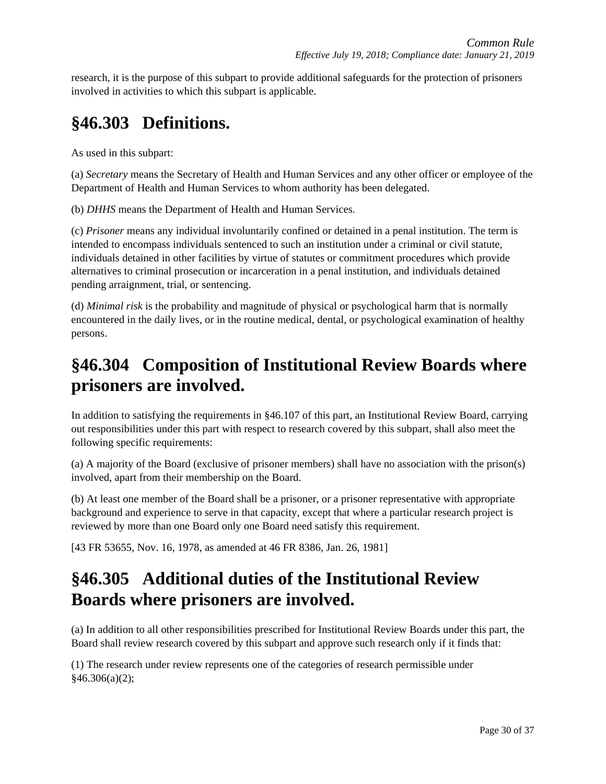research, it is the purpose of this subpart to provide additional safeguards for the protection of prisoners involved in activities to which this subpart is applicable.

# **§46.303 Definitions.**

As used in this subpart:

(a) *Secretary* means the Secretary of Health and Human Services and any other officer or employee of the Department of Health and Human Services to whom authority has been delegated.

(b) *DHHS* means the Department of Health and Human Services.

(c) *Prisoner* means any individual involuntarily confined or detained in a penal institution. The term is intended to encompass individuals sentenced to such an institution under a criminal or civil statute, individuals detained in other facilities by virtue of statutes or commitment procedures which provide alternatives to criminal prosecution or incarceration in a penal institution, and individuals detained pending arraignment, trial, or sentencing.

(d) *Minimal risk* is the probability and magnitude of physical or psychological harm that is normally encountered in the daily lives, or in the routine medical, dental, or psychological examination of healthy persons.

## **§46.304 Composition of Institutional Review Boards where prisoners are involved.**

In addition to satisfying the requirements in §46.107 of this part, an Institutional Review Board, carrying out responsibilities under this part with respect to research covered by this subpart, shall also meet the following specific requirements:

(a) A majority of the Board (exclusive of prisoner members) shall have no association with the prison(s) involved, apart from their membership on the Board.

(b) At least one member of the Board shall be a prisoner, or a prisoner representative with appropriate background and experience to serve in that capacity, except that where a particular research project is reviewed by more than one Board only one Board need satisfy this requirement.

[43 FR 53655, Nov. 16, 1978, as amended at 46 FR 8386, Jan. 26, 1981]

## **§46.305 Additional duties of the Institutional Review Boards where prisoners are involved.**

(a) In addition to all other responsibilities prescribed for Institutional Review Boards under this part, the Board shall review research covered by this subpart and approve such research only if it finds that:

(1) The research under review represents one of the categories of research permissible under  $§46.306(a)(2);$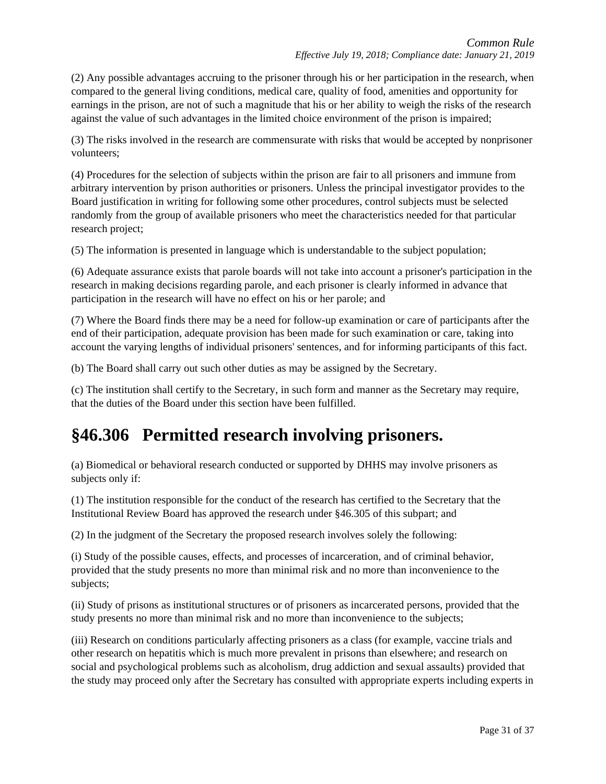(2) Any possible advantages accruing to the prisoner through his or her participation in the research, when compared to the general living conditions, medical care, quality of food, amenities and opportunity for earnings in the prison, are not of such a magnitude that his or her ability to weigh the risks of the research against the value of such advantages in the limited choice environment of the prison is impaired;

(3) The risks involved in the research are commensurate with risks that would be accepted by nonprisoner volunteers;

(4) Procedures for the selection of subjects within the prison are fair to all prisoners and immune from arbitrary intervention by prison authorities or prisoners. Unless the principal investigator provides to the Board justification in writing for following some other procedures, control subjects must be selected randomly from the group of available prisoners who meet the characteristics needed for that particular research project;

(5) The information is presented in language which is understandable to the subject population;

(6) Adequate assurance exists that parole boards will not take into account a prisoner's participation in the research in making decisions regarding parole, and each prisoner is clearly informed in advance that participation in the research will have no effect on his or her parole; and

(7) Where the Board finds there may be a need for follow-up examination or care of participants after the end of their participation, adequate provision has been made for such examination or care, taking into account the varying lengths of individual prisoners' sentences, and for informing participants of this fact.

(b) The Board shall carry out such other duties as may be assigned by the Secretary.

(c) The institution shall certify to the Secretary, in such form and manner as the Secretary may require, that the duties of the Board under this section have been fulfilled.

## **§46.306 Permitted research involving prisoners.**

(a) Biomedical or behavioral research conducted or supported by DHHS may involve prisoners as subjects only if:

(1) The institution responsible for the conduct of the research has certified to the Secretary that the Institutional Review Board has approved the research under §46.305 of this subpart; and

(2) In the judgment of the Secretary the proposed research involves solely the following:

(i) Study of the possible causes, effects, and processes of incarceration, and of criminal behavior, provided that the study presents no more than minimal risk and no more than inconvenience to the subjects;

(ii) Study of prisons as institutional structures or of prisoners as incarcerated persons, provided that the study presents no more than minimal risk and no more than inconvenience to the subjects;

(iii) Research on conditions particularly affecting prisoners as a class (for example, vaccine trials and other research on hepatitis which is much more prevalent in prisons than elsewhere; and research on social and psychological problems such as alcoholism, drug addiction and sexual assaults) provided that the study may proceed only after the Secretary has consulted with appropriate experts including experts in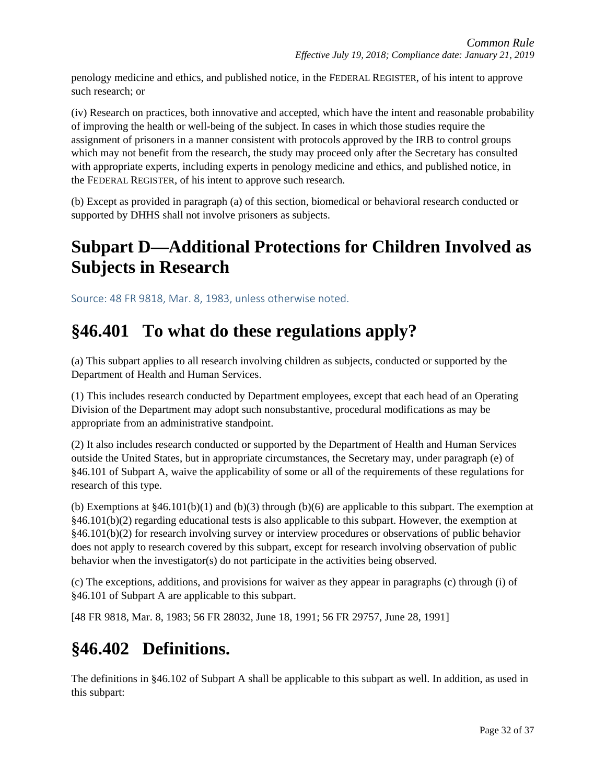penology medicine and ethics, and published notice, in the FEDERAL REGISTER, of his intent to approve such research; or

(iv) Research on practices, both innovative and accepted, which have the intent and reasonable probability of improving the health or well-being of the subject. In cases in which those studies require the assignment of prisoners in a manner consistent with protocols approved by the IRB to control groups which may not benefit from the research, the study may proceed only after the Secretary has consulted with appropriate experts, including experts in penology medicine and ethics, and published notice, in the FEDERAL REGISTER, of his intent to approve such research.

(b) Except as provided in paragraph (a) of this section, biomedical or behavioral research conducted or supported by DHHS shall not involve prisoners as subjects.

## **Subpart D—Additional Protections for Children Involved as Subjects in Research**

Source: 48 FR 9818, Mar. 8, 1983, unless otherwise noted.

## **§46.401 To what do these regulations apply?**

(a) This subpart applies to all research involving children as subjects, conducted or supported by the Department of Health and Human Services.

(1) This includes research conducted by Department employees, except that each head of an Operating Division of the Department may adopt such nonsubstantive, procedural modifications as may be appropriate from an administrative standpoint.

(2) It also includes research conducted or supported by the Department of Health and Human Services outside the United States, but in appropriate circumstances, the Secretary may, under paragraph (e) of §46.101 of Subpart A, waive the applicability of some or all of the requirements of these regulations for research of this type.

(b) Exemptions at  $§46.101(b)(1)$  and (b)(3) through (b)(6) are applicable to this subpart. The exemption at §46.101(b)(2) regarding educational tests is also applicable to this subpart. However, the exemption at §46.101(b)(2) for research involving survey or interview procedures or observations of public behavior does not apply to research covered by this subpart, except for research involving observation of public behavior when the investigator(s) do not participate in the activities being observed.

(c) The exceptions, additions, and provisions for waiver as they appear in paragraphs (c) through (i) of §46.101 of Subpart A are applicable to this subpart.

[48 FR 9818, Mar. 8, 1983; 56 FR 28032, June 18, 1991; 56 FR 29757, June 28, 1991]

# **§46.402 Definitions.**

The definitions in §46.102 of Subpart A shall be applicable to this subpart as well. In addition, as used in this subpart: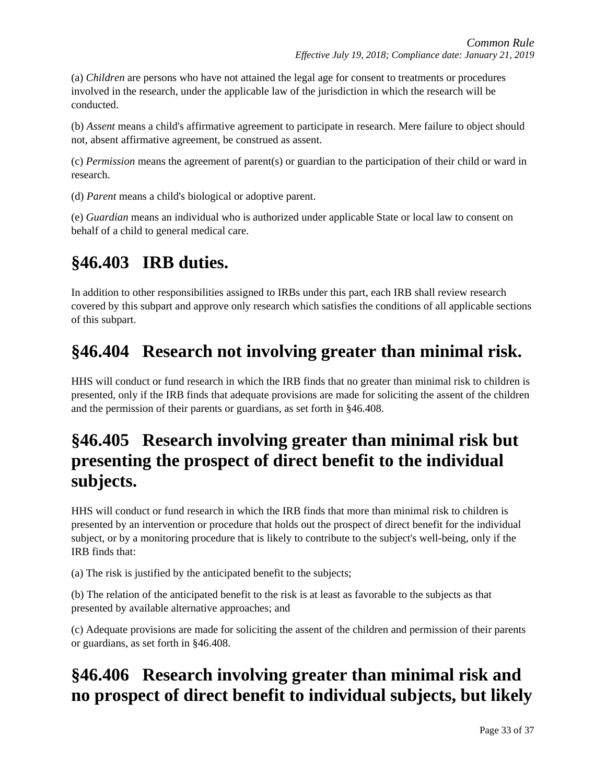(a) *Children* are persons who have not attained the legal age for consent to treatments or procedures involved in the research, under the applicable law of the jurisdiction in which the research will be conducted.

(b) *Assent* means a child's affirmative agreement to participate in research. Mere failure to object should not, absent affirmative agreement, be construed as assent.

(c) *Permission* means the agreement of parent(s) or guardian to the participation of their child or ward in research.

(d) *Parent* means a child's biological or adoptive parent.

(e) *Guardian* means an individual who is authorized under applicable State or local law to consent on behalf of a child to general medical care.

#### **§46.403 IRB duties.**

In addition to other responsibilities assigned to IRBs under this part, each IRB shall review research covered by this subpart and approve only research which satisfies the conditions of all applicable sections of this subpart.

## **§46.404 Research not involving greater than minimal risk.**

HHS will conduct or fund research in which the IRB finds that no greater than minimal risk to children is presented, only if the IRB finds that adequate provisions are made for soliciting the assent of the children and the permission of their parents or guardians, as set forth in §46.408.

## **§46.405 Research involving greater than minimal risk but presenting the prospect of direct benefit to the individual subjects.**

HHS will conduct or fund research in which the IRB finds that more than minimal risk to children is presented by an intervention or procedure that holds out the prospect of direct benefit for the individual subject, or by a monitoring procedure that is likely to contribute to the subject's well-being, only if the IRB finds that:

(a) The risk is justified by the anticipated benefit to the subjects;

(b) The relation of the anticipated benefit to the risk is at least as favorable to the subjects as that presented by available alternative approaches; and

(c) Adequate provisions are made for soliciting the assent of the children and permission of their parents or guardians, as set forth in §46.408.

## **§46.406 Research involving greater than minimal risk and no prospect of direct benefit to individual subjects, but likely**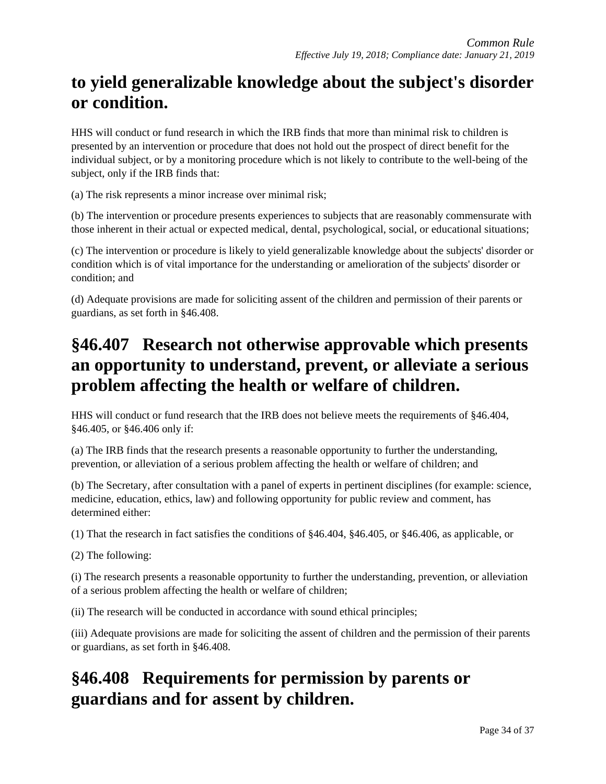### **to yield generalizable knowledge about the subject's disorder or condition.**

HHS will conduct or fund research in which the IRB finds that more than minimal risk to children is presented by an intervention or procedure that does not hold out the prospect of direct benefit for the individual subject, or by a monitoring procedure which is not likely to contribute to the well-being of the subject, only if the IRB finds that:

(a) The risk represents a minor increase over minimal risk;

(b) The intervention or procedure presents experiences to subjects that are reasonably commensurate with those inherent in their actual or expected medical, dental, psychological, social, or educational situations;

(c) The intervention or procedure is likely to yield generalizable knowledge about the subjects' disorder or condition which is of vital importance for the understanding or amelioration of the subjects' disorder or condition; and

(d) Adequate provisions are made for soliciting assent of the children and permission of their parents or guardians, as set forth in §46.408.

### **§46.407 Research not otherwise approvable which presents an opportunity to understand, prevent, or alleviate a serious problem affecting the health or welfare of children.**

HHS will conduct or fund research that the IRB does not believe meets the requirements of §46.404, §46.405, or §46.406 only if:

(a) The IRB finds that the research presents a reasonable opportunity to further the understanding, prevention, or alleviation of a serious problem affecting the health or welfare of children; and

(b) The Secretary, after consultation with a panel of experts in pertinent disciplines (for example: science, medicine, education, ethics, law) and following opportunity for public review and comment, has determined either:

(1) That the research in fact satisfies the conditions of §46.404, §46.405, or §46.406, as applicable, or

(2) The following:

(i) The research presents a reasonable opportunity to further the understanding, prevention, or alleviation of a serious problem affecting the health or welfare of children;

(ii) The research will be conducted in accordance with sound ethical principles;

(iii) Adequate provisions are made for soliciting the assent of children and the permission of their parents or guardians, as set forth in §46.408.

#### **§46.408 Requirements for permission by parents or guardians and for assent by children.**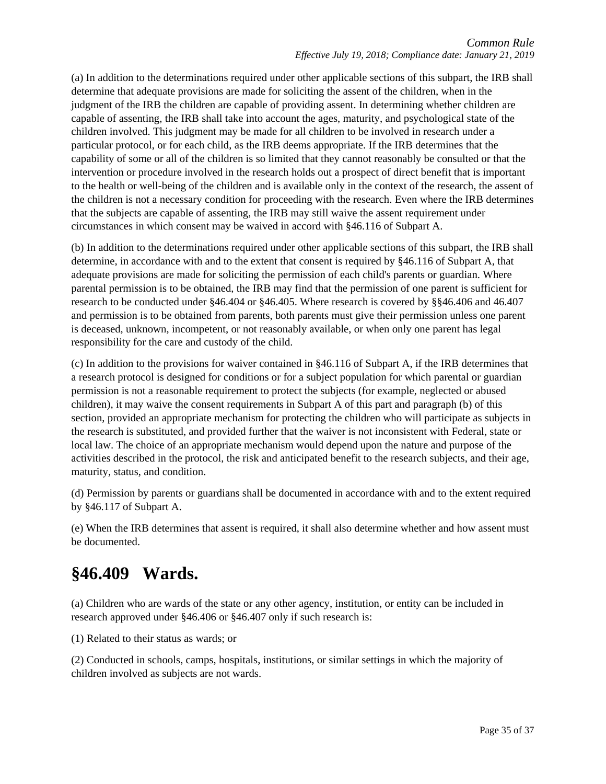(a) In addition to the determinations required under other applicable sections of this subpart, the IRB shall determine that adequate provisions are made for soliciting the assent of the children, when in the judgment of the IRB the children are capable of providing assent. In determining whether children are capable of assenting, the IRB shall take into account the ages, maturity, and psychological state of the children involved. This judgment may be made for all children to be involved in research under a particular protocol, or for each child, as the IRB deems appropriate. If the IRB determines that the capability of some or all of the children is so limited that they cannot reasonably be consulted or that the intervention or procedure involved in the research holds out a prospect of direct benefit that is important to the health or well-being of the children and is available only in the context of the research, the assent of the children is not a necessary condition for proceeding with the research. Even where the IRB determines that the subjects are capable of assenting, the IRB may still waive the assent requirement under circumstances in which consent may be waived in accord with §46.116 of Subpart A.

(b) In addition to the determinations required under other applicable sections of this subpart, the IRB shall determine, in accordance with and to the extent that consent is required by §46.116 of Subpart A, that adequate provisions are made for soliciting the permission of each child's parents or guardian. Where parental permission is to be obtained, the IRB may find that the permission of one parent is sufficient for research to be conducted under §46.404 or §46.405. Where research is covered by §§46.406 and 46.407 and permission is to be obtained from parents, both parents must give their permission unless one parent is deceased, unknown, incompetent, or not reasonably available, or when only one parent has legal responsibility for the care and custody of the child.

(c) In addition to the provisions for waiver contained in §46.116 of Subpart A, if the IRB determines that a research protocol is designed for conditions or for a subject population for which parental or guardian permission is not a reasonable requirement to protect the subjects (for example, neglected or abused children), it may waive the consent requirements in Subpart A of this part and paragraph (b) of this section, provided an appropriate mechanism for protecting the children who will participate as subjects in the research is substituted, and provided further that the waiver is not inconsistent with Federal, state or local law. The choice of an appropriate mechanism would depend upon the nature and purpose of the activities described in the protocol, the risk and anticipated benefit to the research subjects, and their age, maturity, status, and condition.

(d) Permission by parents or guardians shall be documented in accordance with and to the extent required by §46.117 of Subpart A.

(e) When the IRB determines that assent is required, it shall also determine whether and how assent must be documented.

## **§46.409 Wards.**

(a) Children who are wards of the state or any other agency, institution, or entity can be included in research approved under §46.406 or §46.407 only if such research is:

(1) Related to their status as wards; or

(2) Conducted in schools, camps, hospitals, institutions, or similar settings in which the majority of children involved as subjects are not wards.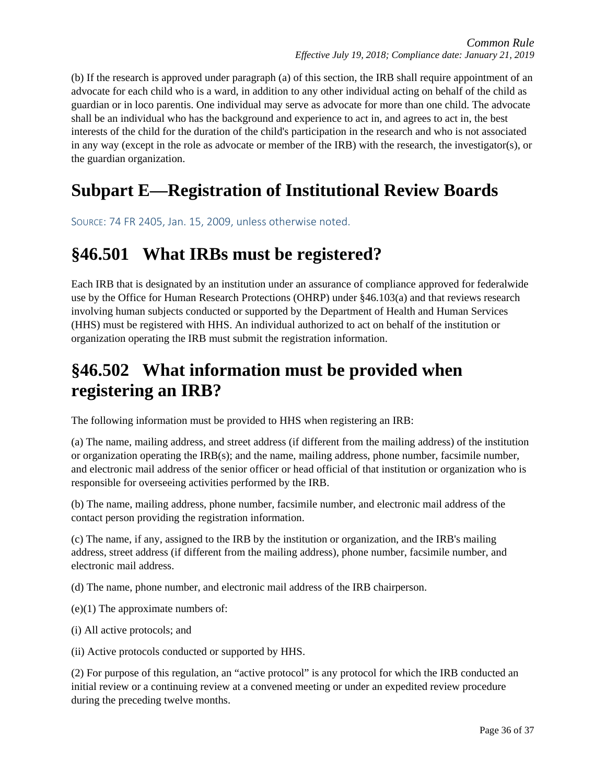(b) If the research is approved under paragraph (a) of this section, the IRB shall require appointment of an advocate for each child who is a ward, in addition to any other individual acting on behalf of the child as guardian or in loco parentis. One individual may serve as advocate for more than one child. The advocate shall be an individual who has the background and experience to act in, and agrees to act in, the best interests of the child for the duration of the child's participation in the research and who is not associated in any way (except in the role as advocate or member of the IRB) with the research, the investigator(s), or the guardian organization.

## **Subpart E—Registration of Institutional Review Boards**

SOURCE: 74 FR 2405, Jan. 15, 2009, unless otherwise noted.

#### **§46.501 What IRBs must be registered?**

Each IRB that is designated by an institution under an assurance of compliance approved for federalwide use by the Office for Human Research Protections (OHRP) under §46.103(a) and that reviews research involving human subjects conducted or supported by the Department of Health and Human Services (HHS) must be registered with HHS. An individual authorized to act on behalf of the institution or organization operating the IRB must submit the registration information.

### **§46.502 What information must be provided when registering an IRB?**

The following information must be provided to HHS when registering an IRB:

(a) The name, mailing address, and street address (if different from the mailing address) of the institution or organization operating the IRB(s); and the name, mailing address, phone number, facsimile number, and electronic mail address of the senior officer or head official of that institution or organization who is responsible for overseeing activities performed by the IRB.

(b) The name, mailing address, phone number, facsimile number, and electronic mail address of the contact person providing the registration information.

(c) The name, if any, assigned to the IRB by the institution or organization, and the IRB's mailing address, street address (if different from the mailing address), phone number, facsimile number, and electronic mail address.

(d) The name, phone number, and electronic mail address of the IRB chairperson.

- (e)(1) The approximate numbers of:
- (i) All active protocols; and
- (ii) Active protocols conducted or supported by HHS.

(2) For purpose of this regulation, an "active protocol" is any protocol for which the IRB conducted an initial review or a continuing review at a convened meeting or under an expedited review procedure during the preceding twelve months.